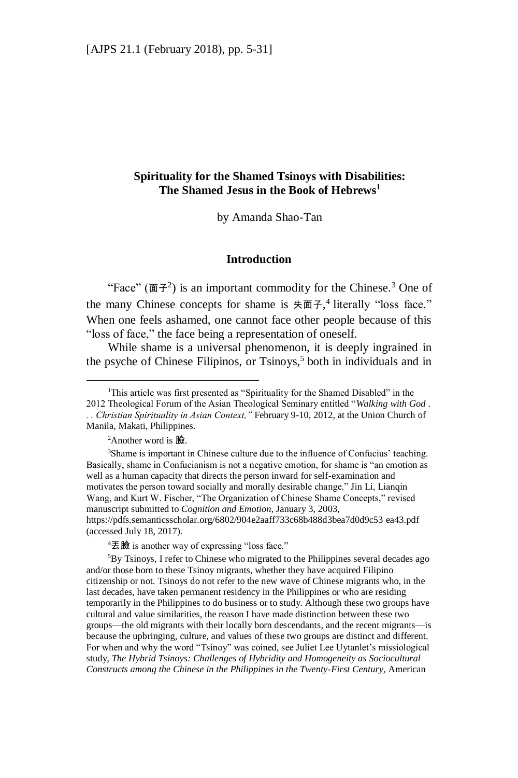## **Spirituality for the Shamed Tsinoys with Disabilities: The Shamed Jesus in the Book of Hebrews<sup>1</sup>**

by Amanda Shao-Tan

#### **Introduction**

"Face"  $(\overline{\mathbf{m}} \mathcal{F}^2)$  is an important commodity for the Chinese.<sup>3</sup> One of the many Chinese concepts for shame is  $\text{\#}\mathbb{E}$   $\text{H}_1$  and  $\text{H}_2$  and  $\text{H}_2$  are  $\text{H}_2$  are  $\text{H}_2$ When one feels ashamed, one cannot face other people because of this "loss of face," the face being a representation of oneself.

While shame is a universal phenomenon, it is deeply ingrained in the psyche of Chinese Filipinos, or Tsinoys, <sup>5</sup> both in individuals and in

 ${}^{2}$ Another word is  $\mathbb{R}$ .

 $\overline{a}$ 

<sup>4</sup>丟臉 is another way of expressing "loss face."

<sup>5</sup>By Tsinoys, I refer to Chinese who migrated to the Philippines several decades ago and/or those born to these Tsinoy migrants, whether they have acquired Filipino citizenship or not. Tsinoys do not refer to the new wave of Chinese migrants who, in the last decades, have taken permanent residency in the Philippines or who are residing temporarily in the Philippines to do business or to study. Although these two groups have cultural and value similarities, the reason I have made distinction between these two groups—the old migrants with their locally born descendants, and the recent migrants—is because the upbringing, culture, and values of these two groups are distinct and different. For when and why the word "Tsinoy" was coined, see Juliet Lee Uytanlet's missiological study, *The Hybrid Tsinoys: Challenges of Hybridity and Homogeneity as Sociocultural Constructs among the Chinese in the Philippines in the Twenty-First Century,* American

<sup>&</sup>lt;sup>1</sup>This article was first presented as "Spirituality for the Shamed Disabled" in the 2012 Theological Forum of the Asian Theological Seminary entitled "*Walking with God* . *. . Christian Spirituality in Asian Context,"* February 9-10, 2012, at the Union Church of Manila, Makati, Philippines.

<sup>&</sup>lt;sup>3</sup>Shame is important in Chinese culture due to the influence of Confucius' teaching. Basically, shame in Confucianism is not a negative emotion, for shame is "an emotion as well as a human capacity that directs the person inward for self-examination and motivates the person toward socially and morally desirable change." Jin Li, Lianqin Wang, and Kurt W. Fischer, "The Organization of Chinese Shame Concepts," revised manuscript submitted to *Cognition and Emotion*, January 3, 2003, https://pdfs.semanticsscholar.org/6802/904e2aaff733c68b488d3bea7d0d9c53 [ea43.pdf](https://pdfs.semanticscholar.org/6802/904e2aaff733c68b488d3bea7d0d9c53ea43.pdf) (accessed July 18, 2017).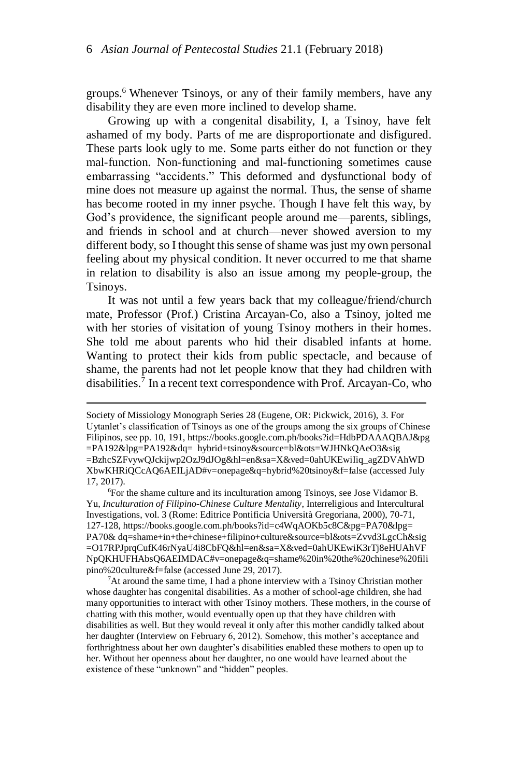groups.<sup>6</sup> Whenever Tsinoys, or any of their family members, have any disability they are even more inclined to develop shame.

Growing up with a congenital disability, I, a Tsinoy, have felt ashamed of my body. Parts of me are disproportionate and disfigured. These parts look ugly to me. Some parts either do not function or they mal-function. Non-functioning and mal-functioning sometimes cause embarrassing "accidents." This deformed and dysfunctional body of mine does not measure up against the normal. Thus, the sense of shame has become rooted in my inner psyche. Though I have felt this way, by God's providence, the significant people around me—parents, siblings, and friends in school and at church—never showed aversion to my different body, so I thought this sense of shame was just my own personal feeling about my physical condition. It never occurred to me that shame in relation to disability is also an issue among my people-group, the Tsinoys.

It was not until a few years back that my colleague/friend/church mate, Professor (Prof.) Cristina Arcayan-Co, also a Tsinoy, jolted me with her stories of visitation of young Tsinoy mothers in their homes. She told me about parents who hid their disabled infants at home. Wanting to protect their kids from public spectacle, and because of shame, the parents had not let people know that they had children with disabilities.<sup>7</sup> In a recent text correspondence with Prof. Arcayan-Co, who

Society of Missiology Monograph Series 28 (Eugene, OR: Pickwick, 2016), 3. For Uytanlet's classification of Tsinoys as one of the groups among the six groups of Chinese Filipinos, see pp. 10, 191, https://books.google.com.ph/books?id=HdbPDAAAQBAJ&pg =PA192&lpg=PA192&dq= hybrid+tsinoy&source=bl&ots=WJHNkQAeO3&sig =BzhcSZFvywQJckijwp2OzJ9dJOg&hl=en&sa=X&ved=0ahUKEwiIiq\_agZDVAhWD XbwKHRiQCcAQ6AEILjAD#v=onepage&q=hybrid%20tsinoy&f=false (accessed July 17, 2017).

<sup>6</sup>For the shame culture and its inculturation among Tsinoys, see Jose Vidamor B. Yu, *Inculturation of Filipino-Chinese Culture Mentality*, Interreligious and Intercultural Investigations, vol. 3 (Rome: Editrice Pontificia Università Gregoriana, 2000), 70-71, 127-128, https://books.google.com.ph/books?id=c4WqAOKb5c8C&pg=PA70&lpg= PA70[& dq=shame+in+the+chinese+filipino+culture&source=bl&ots=Zvvd3LgcCh&sig](https://books.google.com.ph/books?id=c4WqAOKb5c8C&pg=PA70&lpg=PA70&dq=shame+in+the+chinese+filipino+culture&source=bl&ots=Zvvd3LgcCh&sig=O17RPJprqCufK46rNyaU4i8CbFQ&hl=en&sa=X&ved=0ahUKEwiK3rTj8eHUAhVFNpQKHUFHAbsQ6AEIMDAC#v=onepage&q=shame%20in%20the%20chi) [=O17RPJprqCufK46rNyaU4i8CbFQ&hl=en&sa=X&ved=0ahUKEwiK3rTj8eHUAhVF](https://books.google.com.ph/books?id=c4WqAOKb5c8C&pg=PA70&lpg=PA70&dq=shame+in+the+chinese+filipino+culture&source=bl&ots=Zvvd3LgcCh&sig=O17RPJprqCufK46rNyaU4i8CbFQ&hl=en&sa=X&ved=0ahUKEwiK3rTj8eHUAhVFNpQKHUFHAbsQ6AEIMDAC#v=onepage&q=shame%20in%20the%20chi) [NpQKHUFHAbsQ6AEIMDAC#v=onepage&q=shame%20in%20the%20chinese%20fili](https://books.google.com.ph/books?id=c4WqAOKb5c8C&pg=PA70&lpg=PA70&dq=shame+in+the+chinese+filipino+culture&source=bl&ots=Zvvd3LgcCh&sig=O17RPJprqCufK46rNyaU4i8CbFQ&hl=en&sa=X&ved=0ahUKEwiK3rTj8eHUAhVFNpQKHUFHAbsQ6AEIMDAC#v=onepage&q=shame%20in%20the%20chi) [pino%20culture&f=false](https://books.google.com.ph/books?id=c4WqAOKb5c8C&pg=PA70&lpg=PA70&dq=shame+in+the+chinese+filipino+culture&source=bl&ots=Zvvd3LgcCh&sig=O17RPJprqCufK46rNyaU4i8CbFQ&hl=en&sa=X&ved=0ahUKEwiK3rTj8eHUAhVFNpQKHUFHAbsQ6AEIMDAC#v=onepage&q=shame%20in%20the%20chi) (accessed June 29, 2017).

 $7$ At around the same time, I had a phone interview with a Tsinoy Christian mother whose daughter has congenital disabilities. As a mother of school-age children, she had many opportunities to interact with other Tsinoy mothers. These mothers, in the course of chatting with this mother, would eventually open up that they have children with disabilities as well. But they would reveal it only after this mother candidly talked about her daughter (Interview on February 6, 2012). Somehow, this mother's acceptance and forthrightness about her own daughter's disabilities enabled these mothers to open up to her. Without her openness about her daughter, no one would have learned about the existence of these "unknown" and "hidden" peoples.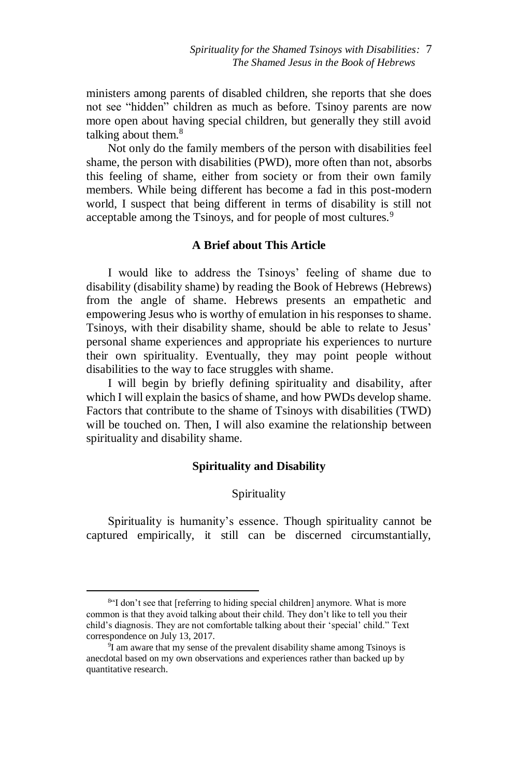ministers among parents of disabled children, she reports that she does not see "hidden" children as much as before. Tsinoy parents are now more open about having special children, but generally they still avoid talking about them.<sup>8</sup>

Not only do the family members of the person with disabilities feel shame, the person with disabilities (PWD), more often than not, absorbs this feeling of shame, either from society or from their own family members. While being different has become a fad in this post-modern world, I suspect that being different in terms of disability is still not acceptable among the Tsinoys, and for people of most cultures.<sup>9</sup>

# **A Brief about This Article**

I would like to address the Tsinoys' feeling of shame due to disability (disability shame) by reading the Book of Hebrews (Hebrews) from the angle of shame. Hebrews presents an empathetic and empowering Jesus who is worthy of emulation in his responses to shame. Tsinoys, with their disability shame, should be able to relate to Jesus' personal shame experiences and appropriate his experiences to nurture their own spirituality. Eventually, they may point people without disabilities to the way to face struggles with shame.

I will begin by briefly defining spirituality and disability, after which I will explain the basics of shame, and how PWDs develop shame. Factors that contribute to the shame of Tsinoys with disabilities (TWD) will be touched on. Then, I will also examine the relationship between spirituality and disability shame.

## **Spirituality and Disability**

## Spirituality

Spirituality is humanity's essence. Though spirituality cannot be captured empirically, it still can be discerned circumstantially,

<sup>8</sup> "I don't see that [referring to hiding special children] anymore. What is more common is that they avoid talking about their child. They don't like to tell you their child's diagnosis. They are not comfortable talking about their 'special' child." Text correspondence on July 13, 2017.

<sup>&</sup>lt;sup>9</sup>I am aware that my sense of the prevalent disability shame among Tsinoys is anecdotal based on my own observations and experiences rather than backed up by quantitative research.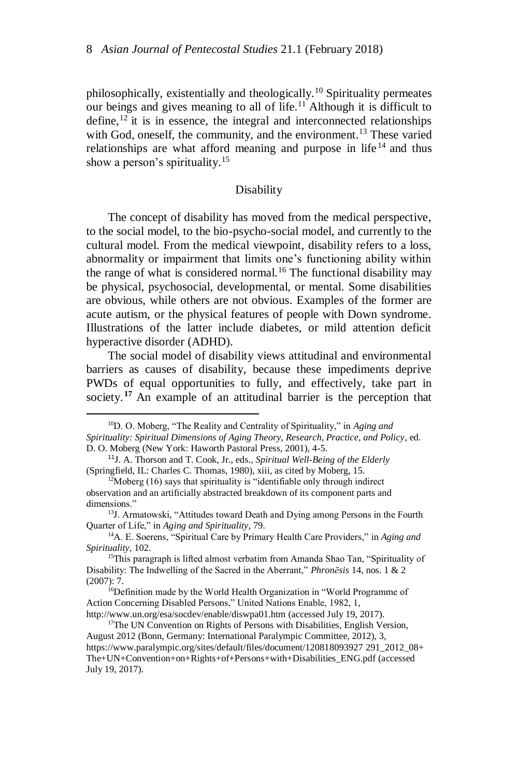philosophically, existentially and theologically.<sup>10</sup> Spirituality permeates our beings and gives meaning to all of life.<sup>11</sup> Although it is difficult to define,  $12$  it is in essence, the integral and interconnected relationships with God, oneself, the community, and the environment.<sup>13</sup> These varied relationships are what afford meaning and purpose in life $14$  and thus show a person's spirituality.<sup>15</sup>

### **Disability**

The concept of disability has moved from the medical perspective, to the social model, to the bio-psycho-social model, and currently to the cultural model. From the medical viewpoint, disability refers to a loss, abnormality or impairment that limits one's functioning ability within the range of what is considered normal.<sup>16</sup> The functional disability may be physical, psychosocial, developmental, or mental. Some disabilities are obvious, while others are not obvious. Examples of the former are acute autism, or the physical features of people with Down syndrome. Illustrations of the latter include diabetes, or mild attention deficit hyperactive disorder (ADHD).

The social model of disability views attitudinal and environmental barriers as causes of disability, because these impediments deprive PWDs of equal opportunities to fully, and effectively, take part in society.<sup>17</sup> An example of an attitudinal barrier is the perception that

<sup>10</sup>D. O. Moberg, "The Reality and Centrality of Spirituality," in *Aging and Spirituality: Spiritual Dimensions of Aging Theory, Research, Practice, and Policy*, ed. D. O. Moberg (New York: Haworth Pastoral Press, 2001), 4-5.

<sup>11</sup>J. A. Thorson and T. Cook, Jr., eds., *Spiritual Well-Being of the Elderly* (Springfield, IL: Charles C. Thomas, 1980), xiii, as cited by Moberg, 15.

 $12$ Moberg (16) says that spirituality is "identifiable only through indirect observation and an artificially abstracted breakdown of its component parts and dimensions."

<sup>&</sup>lt;sup>13</sup>J. Armatowski, "Attitudes toward Death and Dying among Persons in the Fourth Quarter of Life," in *Aging and Spirituality*, 79.

<sup>14</sup>A. E. Soerens, "Spiritual Care by Primary Health Care Providers," in *Aging and Spirituality*, 102.

<sup>&</sup>lt;sup>15</sup>This paragraph is lifted almost verbatim from Amanda Shao Tan, "Spirituality of Disability: The Indwelling of the Sacred in the Aberrant," *Phronēsis* 14, nos. 1 & 2 (2007): 7.

<sup>&</sup>lt;sup>16</sup>Definition made by the World Health Organization in "World Programme of Action Concerning Disabled Persons," United Nations Enable, 1982, 1, <http://www.un.org/esa/socdev/enable/diswpa01.htm> (accessed July 19, 2017).

<sup>&</sup>lt;sup>17</sup>The UN Convention on Rights of Persons with Disabilities, English Version, August 2012 (Bonn, Germany: International Paralympic Committee, 2012), 3, https://www.paralympic.org/sites/default/files/document/120818093927 [291\\_2012\\_08+](https://www.paralympic.org/sites/default/files/document/120818093927291_2012_08+The+UN+Convention+on+Rights+of+Persons+with+Disabilities_ENG.pdf) [The+UN+Convention+on+Rights+of+Persons+with+Disabilities\\_ENG.pdf](https://www.paralympic.org/sites/default/files/document/120818093927291_2012_08+The+UN+Convention+on+Rights+of+Persons+with+Disabilities_ENG.pdf) (accessed July 19, 2017).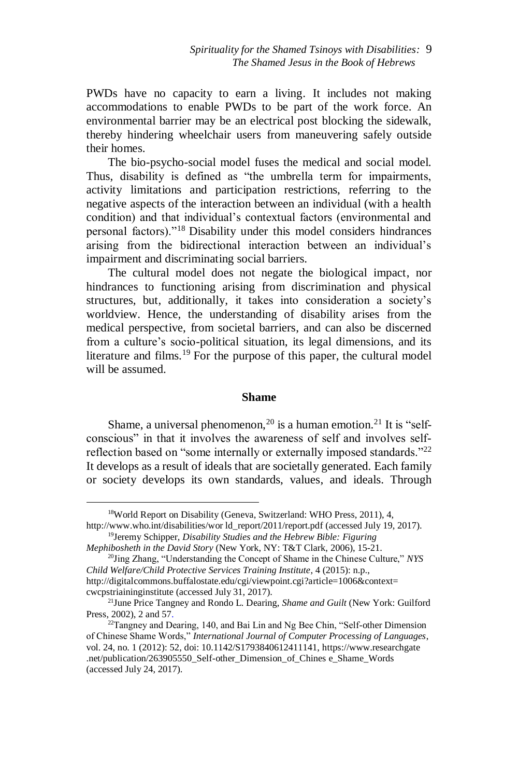PWDs have no capacity to earn a living. It includes not making accommodations to enable PWDs to be part of the work force. An environmental barrier may be an electrical post blocking the sidewalk, thereby hindering wheelchair users from maneuvering safely outside their homes.

The bio-psycho-social model fuses the medical and social model. Thus, disability is defined as "the umbrella term for impairments, activity limitations and participation restrictions, referring to the negative aspects of the interaction between an individual (with a health condition) and that individual's contextual factors (environmental and personal factors)."<sup>18</sup> Disability under this model considers hindrances arising from the bidirectional interaction between an individual's impairment and discriminating social barriers.

The cultural model does not negate the biological impact, nor hindrances to functioning arising from discrimination and physical structures, but, additionally, it takes into consideration a society's worldview. Hence, the understanding of disability arises from the medical perspective, from societal barriers, and can also be discerned from a culture's socio-political situation, its legal dimensions, and its literature and films.<sup>19</sup> For the purpose of this paper, the cultural model will be assumed.

### **Shame**

Shame, a universal phenomenon,<sup>20</sup> is a human emotion.<sup>21</sup> It is "selfconscious" in that it involves the awareness of self and involves selfreflection based on "some internally or externally imposed standards."<sup>22</sup> It develops as a result of ideals that are societally generated. Each family or society develops its own standards, values, and ideals. Through

<sup>18</sup>World Report on Disability (Geneva, Switzerland: WHO Press, 2011), 4,

http://www.who.int/disabilities/wor ld\_report/2011/report.pdf (accessed July 19, 2017). <sup>19</sup>Jeremy Schipper, *Disability Studies and the Hebrew Bible: Figuring* 

*Mephibosheth in the David Story* (New York, NY: T&T Clark, 2006), 15-21. <sup>20</sup>Jing Zhang, "Understanding the Concept of Shame in the Chinese Culture," *NYS* 

*Child Welfare/Child Protective Services Training Institute*, 4 (2015): n.p., http://digitalcommons.buffalostate.edu/cgi/viewpoint.cgi?article=1006&context=

cwcpstriaininginstitute (accessed July 31, 2017).

<sup>21</sup>June Price Tangney and Rondo L. Dearing, *Shame and Guilt* (New York: Guilford Press, 2002), 2 and 57.

 $^{22}$ Tangney and Dearing, 140, and Bai Lin and Ng Bee Chin, "Self-other Dimension of Chinese Shame Words," *International Journal of Computer Processing of Languages*, vol. 24, no. 1 (2012): 52, doi: 10.1142/S1793840612411141, https://www.researchgate .net/publication/263905550\_Self-other\_Dimension\_of\_Chines e\_Shame\_Words (accessed July 24, 2017).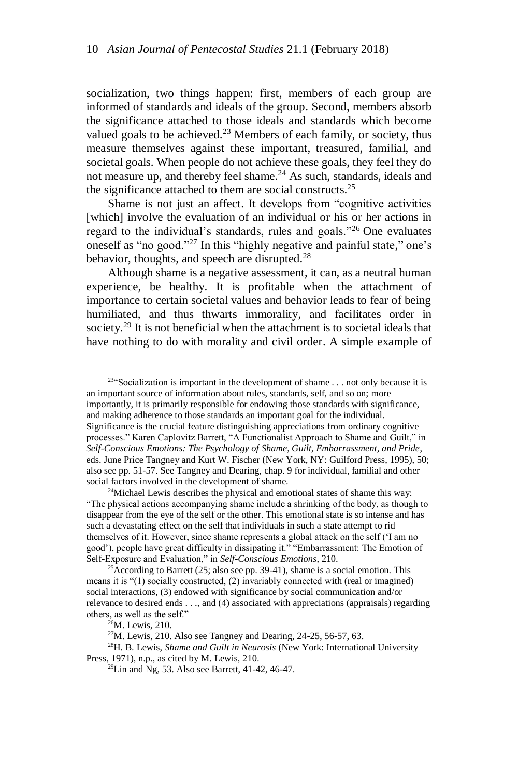socialization, two things happen: first, members of each group are informed of standards and ideals of the group. Second, members absorb the significance attached to those ideals and standards which become valued goals to be achieved.<sup>23</sup> Members of each family, or society, thus measure themselves against these important, treasured, familial, and societal goals. When people do not achieve these goals, they feel they do not measure up, and thereby feel shame.<sup>24</sup> As such, standards, ideals and the significance attached to them are social constructs.<sup>25</sup>

Shame is not just an affect. It develops from "cognitive activities [which] involve the evaluation of an individual or his or her actions in regard to the individual's standards, rules and goals."<sup>26</sup> One evaluates oneself as "no good."<sup>27</sup> In this "highly negative and painful state," one's behavior, thoughts, and speech are disrupted.<sup>28</sup>

Although shame is a negative assessment, it can, as a neutral human experience, be healthy. It is profitable when the attachment of importance to certain societal values and behavior leads to fear of being humiliated, and thus thwarts immorality, and facilitates order in society.<sup>29</sup> It is not beneficial when the attachment is to societal ideals that have nothing to do with morality and civil order. A simple example of

 $234$  Socialization is important in the development of shame . . . not only because it is an important source of information about rules, standards, self, and so on; more importantly, it is primarily responsible for endowing those standards with significance, and making adherence to those standards an important goal for the individual. Significance is the crucial feature distinguishing appreciations from ordinary cognitive processes." Karen Caplovitz Barrett, "A Functionalist Approach to Shame and Guilt," in *Self-Conscious Emotions: The Psychology of Shame, Guilt, Embarrassment, and Pride*, eds. June Price Tangney and Kurt W. Fischer (New York, NY: Guilford Press, 1995), 50; also see pp. 51-57. See Tangney and Dearing, chap. 9 for individual, familial and other social factors involved in the development of shame.

<sup>&</sup>lt;sup>24</sup>Michael Lewis describes the physical and emotional states of shame this way: "The physical actions accompanying shame include a shrinking of the body, as though to disappear from the eye of the self or the other. This emotional state is so intense and has such a devastating effect on the self that individuals in such a state attempt to rid themselves of it. However, since shame represents a global attack on the self ('I am no good'), people have great difficulty in dissipating it." "Embarrassment: The Emotion of Self-Exposure and Evaluation," in *Self-Conscious Emotions,* 210.

<sup>&</sup>lt;sup>25</sup>According to Barrett (25; also see pp. 39-41), shame is a social emotion. This means it is "(1) socially constructed, (2) invariably connected with (real or imagined) social interactions, (3) endowed with significance by social communication and/or relevance to desired ends . . ., and (4) associated with appreciations (appraisals) regarding others, as well as the self."

<sup>26</sup>M. Lewis, 210.

 $27$ M. Lewis, 210. Also see Tangney and Dearing, 24-25, 56-57, 63.

<sup>28</sup>H. B. Lewis, *Shame and Guilt in Neurosis* (New York: International University Press, 1971), n.p., as cited by M. Lewis, 210.

 $^{29}$ Lin and Ng, 53. Also see Barrett, 41-42, 46-47.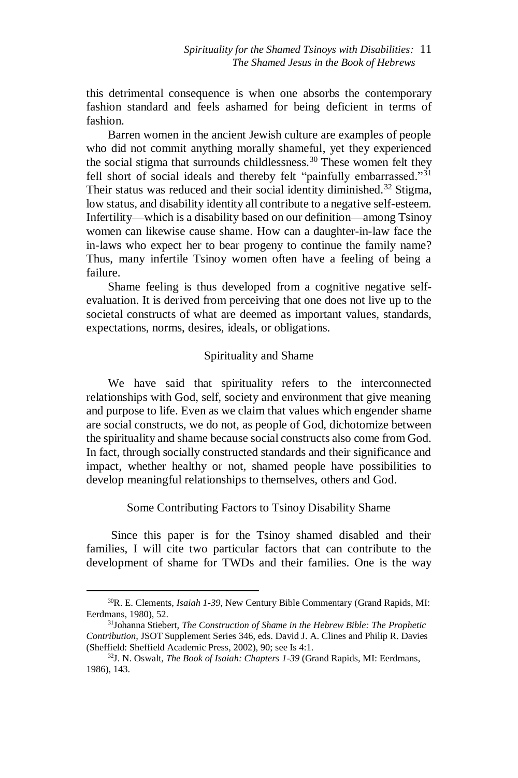this detrimental consequence is when one absorbs the contemporary fashion standard and feels ashamed for being deficient in terms of fashion.

Barren women in the ancient Jewish culture are examples of people who did not commit anything morally shameful, yet they experienced the social stigma that surrounds childlessness.<sup>30</sup> These women felt they fell short of social ideals and thereby felt "painfully embarrassed."<sup>31</sup> Their status was reduced and their social identity diminished.<sup>32</sup> Stigma, low status, and disability identity all contribute to a negative self-esteem. Infertility—which is a disability based on our definition—among Tsinoy women can likewise cause shame. How can a daughter-in-law face the in-laws who expect her to bear progeny to continue the family name? Thus, many infertile Tsinoy women often have a feeling of being a failure.

Shame feeling is thus developed from a cognitive negative selfevaluation. It is derived from perceiving that one does not live up to the societal constructs of what are deemed as important values, standards, expectations, norms, desires, ideals, or obligations.

### Spirituality and Shame

We have said that spirituality refers to the interconnected relationships with God, self, society and environment that give meaning and purpose to life. Even as we claim that values which engender shame are social constructs, we do not, as people of God, dichotomize between the spirituality and shame because social constructs also come from God. In fact, through socially constructed standards and their significance and impact, whether healthy or not, shamed people have possibilities to develop meaningful relationships to themselves, others and God.

### Some Contributing Factors to Tsinoy Disability Shame

Since this paper is for the Tsinoy shamed disabled and their families, I will cite two particular factors that can contribute to the development of shame for TWDs and their families. One is the way

<sup>30</sup>R. E. Clements, *Isaiah 1-39,* New Century Bible Commentary (Grand Rapids, MI: Eerdmans, 1980), 52.

<sup>31</sup>Johanna Stiebert, *The Construction of Shame in the Hebrew Bible: The Prophetic Contribution,* JSOT Supplement Series 346, eds. David J. A. Clines and Philip R. Davies (Sheffield: Sheffield Academic Press, 2002), 90; see Is 4:1.

<sup>32</sup>J. N. Oswalt, *The Book of Isaiah: Chapters 1-39* (Grand Rapids, MI: Eerdmans, 1986), 143.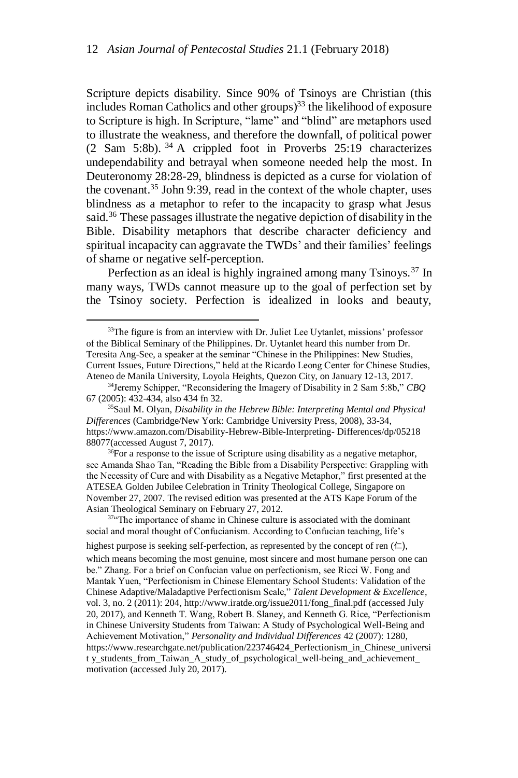Scripture depicts disability. Since 90% of Tsinoys are Christian (this includes Roman Catholics and other groups) <sup>33</sup> the likelihood of exposure to Scripture is high. In Scripture, "lame" and "blind" are metaphors used to illustrate the weakness, and therefore the downfall, of political power  $(2$  Sam 5:8b). <sup>34</sup> A crippled foot in Proverbs 25:19 characterizes undependability and betrayal when someone needed help the most. In Deuteronomy 28:28-29, blindness is depicted as a curse for violation of the covenant.<sup>35</sup> John 9:39, read in the context of the whole chapter, uses blindness as a metaphor to refer to the incapacity to grasp what Jesus said.<sup>36</sup> These passages illustrate the negative depiction of disability in the Bible. Disability metaphors that describe character deficiency and spiritual incapacity can aggravate the TWDs' and their families' feelings of shame or negative self-perception.

Perfection as an ideal is highly ingrained among many Tsinoys.<sup>37</sup> In many ways, TWDs cannot measure up to the goal of perfection set by the Tsinoy society. Perfection is idealized in looks and beauty,

 $\overline{a}$ 

 $36$ For a response to the issue of Scripture using disability as a negative metaphor, see Amanda Shao Tan, "Reading the Bible from a Disability Perspective: Grappling with the Necessity of Cure and with Disability as a Negative Metaphor," first presented at the ATESEA Golden Jubilee Celebration in Trinity Theological College, Singapore on November 27, 2007. The revised edition was presented at the ATS Kape Forum of the Asian Theological Seminary on February 27, 2012.

highest purpose is seeking self-perfection, as represented by the concept of ren  $(†$ ,

<sup>&</sup>lt;sup>33</sup>The figure is from an interview with Dr. Juliet Lee Uytanlet, missions' professor of the Biblical Seminary of the Philippines. Dr. Uytanlet heard this number from Dr. Teresita Ang-See, a speaker at the seminar "Chinese in the Philippines: New Studies, Current Issues, Future Directions," held at the Ricardo Leong Center for Chinese Studies, Ateneo de Manila University, Loyola Heights, Quezon City, on January 12-13, 2017.

<sup>34</sup>Jeremy Schipper, "Reconsidering the Imagery of Disability in 2 Sam 5:8b," *CBQ* 67 (2005): 432-434, also 434 fn 32.

<sup>35</sup>Saul M. Olyan, *Disability in the Hebrew Bible: Interpreting Mental and Physical Differences* (Cambridge/New York: Cambridge University Press, 2008), 33-34, https://www.amazon.com/Disability-Hebrew-Bible-Interpreting- Differences/dp/05218 88077(accessed August 7, 2017).

 $37$ <sup>474</sup>The importance of shame in Chinese culture is associated with the dominant social and moral thought of Confucianism. According to Confucian teaching, life's

which means becoming the most genuine, most sincere and most humane person one can be." Zhang. For a brief on Confucian value on perfectionism, see Ricci W. Fong and Mantak Yuen, "Perfectionism in Chinese Elementary School Students: Validation of the Chinese Adaptive/Maladaptive Perfectionism Scale," *Talent Development & Excellence*, vol. 3, no. 2 (2011): 204, http://www.iratde.org/issue2011/fong\_final.pdf (accessed July 20, 2017), and Kenneth T. Wang, Robert B. Slaney, and Kenneth G. Rice, "Perfectionism in Chinese University Students from Taiwan: A Study of Psychological Well-Being and Achievement Motivation," *Personality and Individual Differences* 42 (2007): 1280, https://www.researchgate.net/publication/223746424\_Perfectionism\_in\_Chinese\_universi t y students from Taiwan A study of psychological well-being and achievement motivation (accessed July 20, 2017).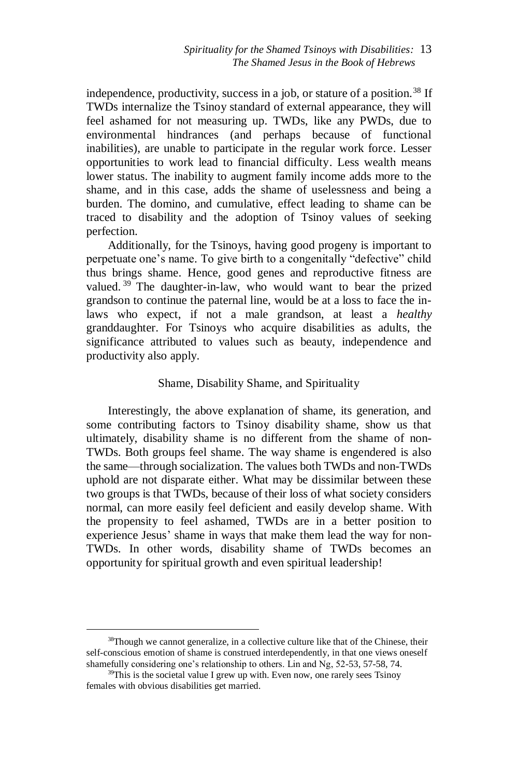independence, productivity, success in a job, or stature of a position.<sup>38</sup> If TWDs internalize the Tsinoy standard of external appearance, they will feel ashamed for not measuring up. TWDs, like any PWDs, due to environmental hindrances (and perhaps because of functional inabilities), are unable to participate in the regular work force. Lesser opportunities to work lead to financial difficulty. Less wealth means lower status. The inability to augment family income adds more to the shame, and in this case, adds the shame of uselessness and being a burden. The domino, and cumulative, effect leading to shame can be traced to disability and the adoption of Tsinoy values of seeking perfection.

Additionally, for the Tsinoys, having good progeny is important to perpetuate one's name. To give birth to a congenitally "defective" child thus brings shame. Hence, good genes and reproductive fitness are valued.<sup>39</sup> The daughter-in-law, who would want to bear the prized grandson to continue the paternal line, would be at a loss to face the inlaws who expect, if not a male grandson, at least a *healthy* granddaughter. For Tsinoys who acquire disabilities as adults, the significance attributed to values such as beauty, independence and productivity also apply.

## Shame, Disability Shame, and Spirituality

Interestingly, the above explanation of shame, its generation, and some contributing factors to Tsinoy disability shame, show us that ultimately, disability shame is no different from the shame of non-TWDs. Both groups feel shame. The way shame is engendered is also the same—through socialization. The values both TWDs and non-TWDs uphold are not disparate either. What may be dissimilar between these two groups is that TWDs, because of their loss of what society considers normal, can more easily feel deficient and easily develop shame. With the propensity to feel ashamed, TWDs are in a better position to experience Jesus' shame in ways that make them lead the way for non-TWDs. In other words, disability shame of TWDs becomes an opportunity for spiritual growth and even spiritual leadership!

<sup>&</sup>lt;sup>38</sup>Though we cannot generalize, in a collective culture like that of the Chinese, their self-conscious emotion of shame is construed interdependently, in that one views oneself shamefully considering one's relationship to others. Lin and Ng, 52-53, 57-58, 74.

<sup>&</sup>lt;sup>39</sup>This is the societal value I grew up with. Even now, one rarely sees Tsinoy females with obvious disabilities get married.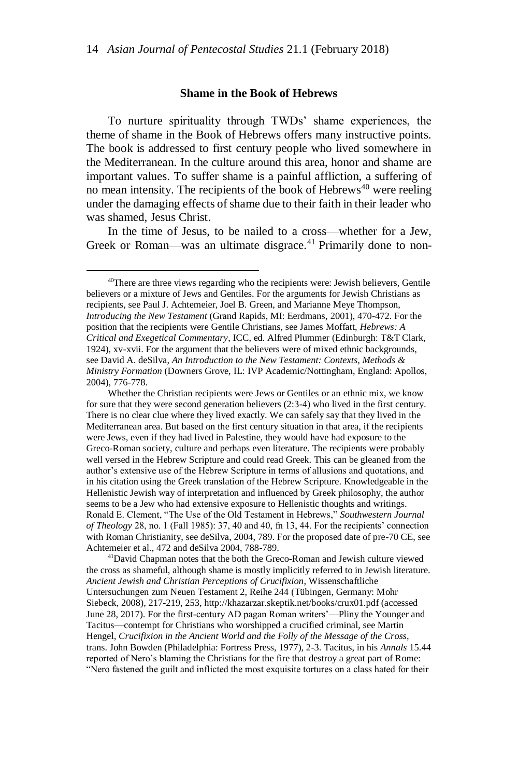#### **Shame in the Book of Hebrews**

To nurture spirituality through TWDs' shame experiences, the theme of shame in the Book of Hebrews offers many instructive points. The book is addressed to first century people who lived somewhere in the Mediterranean. In the culture around this area, honor and shame are important values. To suffer shame is a painful affliction, a suffering of no mean intensity. The recipients of the book of Hebrews<sup>40</sup> were reeling under the damaging effects of shame due to their faith in their leader who was shamed, Jesus Christ.

In the time of Jesus, to be nailed to a cross—whether for a Jew, Greek or Roman—was an ultimate disgrace.<sup>41</sup> Primarily done to non-

 $\overline{a}$ 

<sup>41</sup>David Chapman notes that the both the Greco-Roman and Jewish culture viewed the cross as shameful, although shame is mostly implicitly referred to in Jewish literature. *Ancient Jewish and Christian Perceptions of Crucifixion*, Wissenschaftliche Untersuchungen zum Neuen Testament 2, Reihe 244 (Tübingen, Germany: Mohr Siebeck, 2008), 217-219, 253, http://khazarzar.skeptik.net/books/crux01.pdf (accessed June 28, 2017). For the first-century AD pagan Roman writers'—Pliny the Younger and Tacitus—contempt for Christians who worshipped a crucified criminal, see Martin Hengel, *Crucifixion in the Ancient World and the Folly of the Message of the Cross,*  trans. John Bowden (Philadelphia: Fortress Press, 1977), 2-3. Tacitus, in his *Annals* 15.44 reported of Nero's blaming the Christians for the fire that destroy a great part of Rome: "Nero fastened the guilt and inflicted the most exquisite tortures on a class hated for their

<sup>&</sup>lt;sup>40</sup>There are three views regarding who the recipients were: Jewish believers, Gentile believers or a mixture of Jews and Gentiles. For the arguments for Jewish Christians as recipients, see Paul J. Achtemeier, Joel B. Green, and Marianne Meye Thompson, *Introducing the New Testament* (Grand Rapids, MI: Eerdmans, 2001), 470-472. For the position that the recipients were Gentile Christians, see James Moffatt, *Hebrews: A Critical and Exegetical Commentary*, ICC, ed. Alfred Plummer (Edinburgh: T&T Clark, 1924), xv-xvii. For the argument that the believers were of mixed ethnic backgrounds, see David A. deSilva, *An Introduction to the New Testament: Contexts, Methods & Ministry Formation* (Downers Grove, IL: IVP Academic/Nottingham, England: Apollos, 2004), 776-778.

Whether the Christian recipients were Jews or Gentiles or an ethnic mix, we know for sure that they were second generation believers (2:3-4) who lived in the first century. There is no clear clue where they lived exactly. We can safely say that they lived in the Mediterranean area. But based on the first century situation in that area, if the recipients were Jews, even if they had lived in Palestine, they would have had exposure to the Greco-Roman society, culture and perhaps even literature. The recipients were probably well versed in the Hebrew Scripture and could read Greek. This can be gleaned from the author's extensive use of the Hebrew Scripture in terms of allusions and quotations, and in his citation using the Greek translation of the Hebrew Scripture. Knowledgeable in the Hellenistic Jewish way of interpretation and influenced by Greek philosophy, the author seems to be a Jew who had extensive exposure to Hellenistic thoughts and writings. Ronald E. Clement, "The Use of the Old Testament in Hebrews," *Southwestern Journal of Theology* 28, no. 1 (Fall 1985): 37, 40 and 40, fn 13, 44. For the recipients' connection with Roman Christianity, see deSilva, 2004, 789. For the proposed date of pre-70 CE, see Achtemeier et al., 472 and deSilva 2004, 788-789.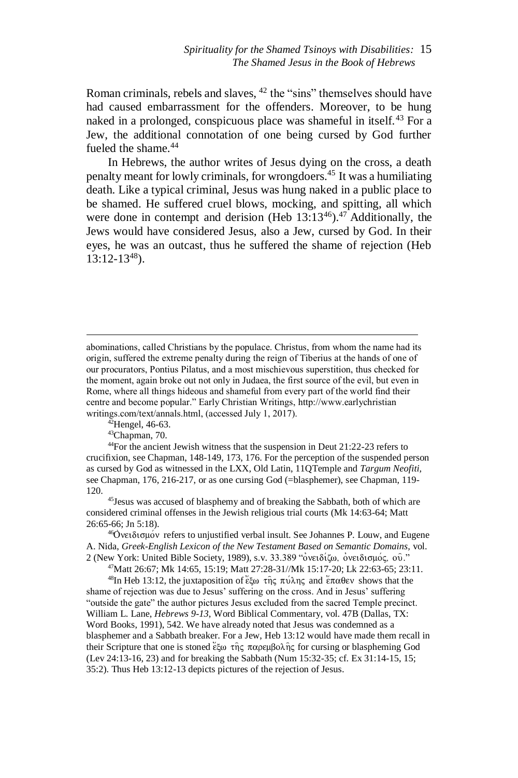Roman criminals, rebels and slaves,  $42$  the "sins" themselves should have had caused embarrassment for the offenders. Moreover, to be hung naked in a prolonged, conspicuous place was shameful in itself.<sup>43</sup> For a Jew, the additional connotation of one being cursed by God further fueled the shame.<sup>44</sup>

In Hebrews, the author writes of Jesus dying on the cross, a death penalty meant for lowly criminals, for wrongdoers.<sup>45</sup> It was a humiliating death. Like a typical criminal, Jesus was hung naked in a public place to be shamed. He suffered cruel blows, mocking, and spitting, all which were done in contempt and derision (Heb  $13:13^{46}$ ).<sup>47</sup> Additionally, the Jews would have considered Jesus, also a Jew, cursed by God. In their eyes, he was an outcast, thus he suffered the shame of rejection (Heb 13:12-13<sup>48</sup>).

 $42$ Hengel, 46-63.

 $\overline{a}$ 

<sup>43</sup>Chapman, 70.

<sup>44</sup>For the ancient Jewish witness that the suspension in Deut 21:22-23 refers to crucifixion, see Chapman, 148-149, 173, 176. For the perception of the suspended person as cursed by God as witnessed in the LXX, Old Latin, 11QTemple and *Targum Neofiti,*  see Chapman, 176, 216-217, or as one cursing God (=blasphemer), see Chapman, 119- 120.

<sup>45</sup>Jesus was accused of blasphemy and of breaking the Sabbath, both of which are considered criminal offenses in the Jewish religious trial courts (Mk 14:63-64; Matt 26:65-66; Jn 5:18).

<sup>46</sup>Ονειδισμόν refers to unjustified verbal insult. See Johannes P. Louw, and Eugene A. Nida, *Greek-English Lexicon of the New Testament Based on Semantic Domains,* vol. 2 (New York: United Bible Society, 1989), s.v. 33.389 "ονειδίζω, ονειδισμός, ου."

<sup>47</sup>Matt 26:67; Mk 14:65, 15:19; Matt 27:28-31//Mk 15:17-20; Lk 22:63-65; 23:11.

<sup>48</sup>In Heb 13:12, the juxtaposition of έξω της πύλης and έπαθεν shows that the shame of rejection was due to Jesus' suffering on the cross. And in Jesus' suffering "outside the gate" the author pictures Jesus excluded from the sacred Temple precinct. William L. Lane, *Hebrews 9-13*, Word Biblical Commentary, vol. 47B (Dallas, TX: Word Books, 1991), 542. We have already noted that Jesus was condemned as a blasphemer and a Sabbath breaker. For a Jew, Heb 13:12 would have made them recall in their Scripture that one is stoned έξω της παρεμβολης for cursing or blaspheming God (Lev 24:13-16, 23) and for breaking the Sabbath (Num 15:32-35; cf. Ex 31:14-15, 15; 35:2). Thus Heb 13:12-13 depicts pictures of the rejection of Jesus.

abominations, called Christians by the populace. Christus, from whom the name had its origin, suffered the extreme penalty during the reign of Tiberius at the hands of one of our procurators, Pontius Pilatus, and a most mischievous superstition, thus checked for the moment, again broke out not only in Judaea, the first source of the evil, but even in Rome, where all things hideous and shameful from every part of the world find their centre and become popular." Early Christian Writings, http://www.earlychristian writings.com/text/annals.html, (accessed July 1, 2017).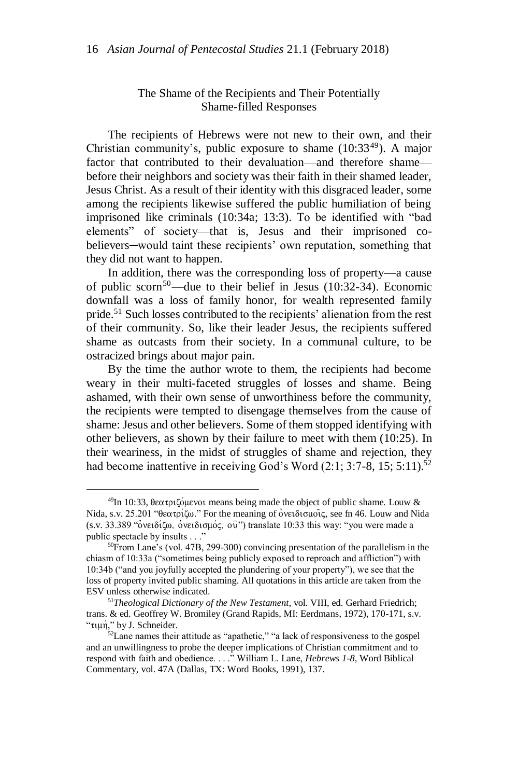## The Shame of the Recipients and Their Potentially Shame-filled Responses

The recipients of Hebrews were not new to their own, and their Christian community's, public exposure to shame  $(10:33<sup>49</sup>)$ . A major factor that contributed to their devaluation—and therefore shame before their neighbors and society was their faith in their shamed leader, Jesus Christ. As a result of their identity with this disgraced leader, some among the recipients likewise suffered the public humiliation of being imprisoned like criminals (10:34a; 13:3). To be identified with "bad elements" of society—that is, Jesus and their imprisoned cobelievers—would taint these recipients' own reputation, something that they did not want to happen.

In addition, there was the corresponding loss of property—a cause of public scorn<sup>50</sup>—due to their belief in Jesus (10:32-34). Economic downfall was a loss of family honor, for wealth represented family pride.<sup>51</sup> Such losses contributed to the recipients' alienation from the rest of their community. So, like their leader Jesus, the recipients suffered shame as outcasts from their society. In a communal culture, to be ostracized brings about major pain.

By the time the author wrote to them, the recipients had become weary in their multi-faceted struggles of losses and shame. Being ashamed, with their own sense of unworthiness before the community, the recipients were tempted to disengage themselves from the cause of shame: Jesus and other believers. Some of them stopped identifying with other believers, as shown by their failure to meet with them (10:25). In their weariness, in the midst of struggles of shame and rejection, they had become inattentive in receiving God's Word (2:1; 3:7-8, 15; 5:11).<sup>52</sup>

<sup>&</sup>lt;sup>49</sup>In 10:33, θεατριζόμενοι means being made the object of public shame. Louw & Nida, s.v. 25.201 "θεατρίζω." For the meaning of ονειδισμοίς, see fn 46. Louw and Nida  $(s.v. 33.389$  " $\delta$ νειδίζω,  $\delta$ νειδισμός,  $\delta$ <sup>3</sup>") translate 10:33 this way: "you were made a public spectacle by insults . . ."

<sup>50</sup>From Lane's (vol. 47B, 299-300) convincing presentation of the parallelism in the chiasm of 10:33a ("sometimes being publicly exposed to reproach and affliction") with 10:34b ("and you joyfully accepted the plundering of your property"), we see that the loss of property invited public shaming. All quotations in this article are taken from the ESV unless otherwise indicated.

<sup>51</sup>*Theological Dictionary of the New Testament*, vol. VIII, ed. Gerhard Friedrich; trans. & ed. Geoffrey W. Bromiley (Grand Rapids, MI: Eerdmans, 1972), 170-171, s.v. "τιμή," by J. Schneider.

 $52$  Lane names their attitude as "apathetic," "a lack of responsiveness to the gospel and an unwillingness to probe the deeper implications of Christian commitment and to respond with faith and obedience. . . ." William L. Lane, *Hebrews 1-8,* Word Biblical Commentary, vol. 47A (Dallas, TX: Word Books, 1991), 137.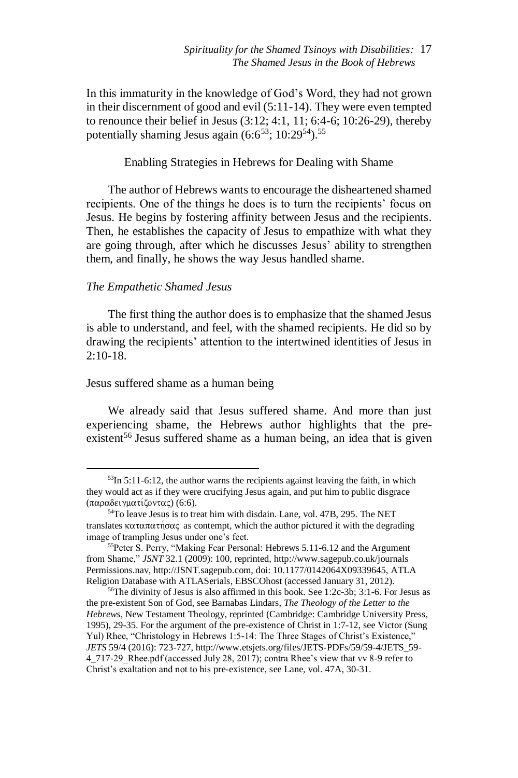In this immaturity in the knowledge of God's Word, they had not grown in their discernment of good and evil (5:11-14). They were even tempted to renounce their belief in Jesus (3:12; 4:1, 11; 6:4-6; 10:26-29), thereby potentially shaming Jesus again  $(6.6^{53}; 10.29^{54})$ <sup>55</sup>

Enabling Strategies in Hebrews for Dealing with Shame

The author of Hebrews wants to encourage the disheartened shamed recipients. One of the things he does is to turn the recipients' focus on Jesus. He begins by fostering affinity between Jesus and the recipients. Then, he establishes the capacity of Jesus to empathize with what they are going through, after which he discusses Jesus' ability to strengthen them, and finally, he shows the way Jesus handled shame.

### *The Empathetic Shamed Jesus*

 $\overline{a}$ 

The first thing the author does is to emphasize that the shamed Jesus is able to understand, and feel, with the shamed recipients. He did so by drawing the recipients' attention to the intertwined identities of Jesus in  $2:10-18.$ 

#### Jesus suffered shame as a human being

We already said that Jesus suffered shame. And more than just experiencing shame, the Hebrews author highlights that the preexistent<sup>56</sup> Jesus suffered shame as a human being, an idea that is given

 $53$ In  $5:11-6:12$ , the author warns the recipients against leaving the faith, in which they would act as if they were crucifying Jesus again, and put him to public disgrace (παραδειγματίζοντας) (6:6).

<sup>54</sup>To leave Jesus is to treat him with disdain. Lane, vol. 47B, 295. The NET translates  $\kappa \alpha \tau \alpha \pi \alpha \tau \eta \sigma \alpha \zeta$  as contempt, which the author pictured it with the degrading image of trampling Jesus under one's feet.

<sup>55</sup>Peter S. Perry, "Making Fear Personal: Hebrews 5.11-6.12 and the Argument from Shame," *JSNT* 32.1 (2009): 100, reprinted, http://www.sagepub.co.uk/journals Permissions.nav, http://JSNT.sagepub.com, doi: 10.1177/0142064X09339645, ATLA Religion Database with ATLASerials, EBSCOhost (accessed January 31, 2012).

 $56$ The divinity of Jesus is also affirmed in this book. See 1:2c-3b; 3:1-6. For Jesus as the pre-existent Son of God, see Barnabas Lindars, *The Theology of the Letter to the Hebrews*, New Testament Theology, reprinted (Cambridge: Cambridge University Press, 1995), 29-35. For the argument of the pre-existence of Christ in 1:7-12, see Victor (Sung Yul) Rhee, "Christology in Hebrews 1:5-14: The Three Stages of Christ's Existence," *JETS* 59/4 (2016): 723-727, http://www.etsjets.org/files/JETS-PDFs/59/59-4/JETS\_59- 4\_717-29\_Rhee.pdf (accessed July 28, 2017); contra Rhee's view that vv 8-9 refer to Christ's exaltation and not to his pre-existence, see Lane, vol. 47A, 30-31.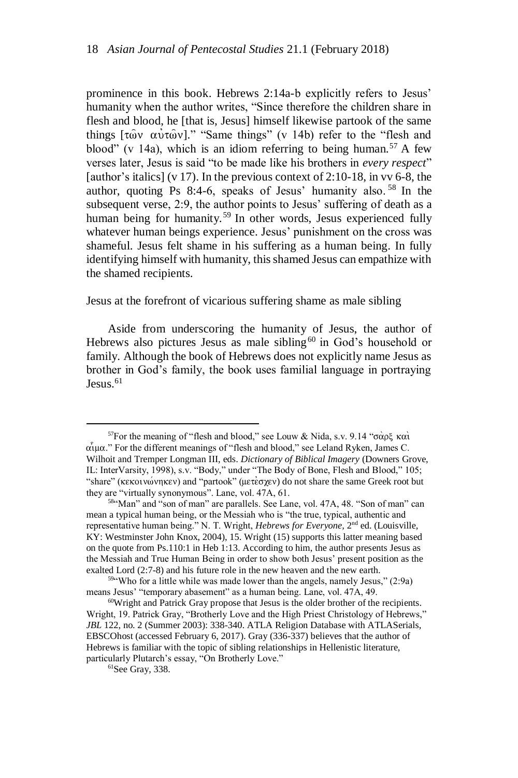prominence in this book. Hebrews 2:14a-b explicitly refers to Jesus' humanity when the author writes, "Since therefore the children share in flesh and blood, he [that is, Jesus] himself likewise partook of the same things  $[\tau \omega v \alpha v \tau \omega v]$ ." "Same things" (v 14b) refer to the "flesh and blood" (v 14a), which is an idiom referring to being human.<sup>57</sup> A few verses later, Jesus is said "to be made like his brothers in *every respect*" [author's italics] (v 17). In the previous context of 2:10-18, in vv 6-8, the author, quoting Ps 8:4-6, speaks of Jesus' humanity also. <sup>58</sup> In the subsequent verse, 2:9, the author points to Jesus' suffering of death as a human being for humanity.<sup>59</sup> In other words, Jesus experienced fully whatever human beings experience. Jesus' punishment on the cross was shameful. Jesus felt shame in his suffering as a human being. In fully identifying himself with humanity, this shamed Jesus can empathize with the shamed recipients.

Jesus at the forefront of vicarious suffering shame as male sibling

Aside from underscoring the humanity of Jesus, the author of Hebrews also pictures Jesus as male sibling<sup>60</sup> in God's household or family. Although the book of Hebrews does not explicitly name Jesus as brother in God's family, the book uses familial language in portraying  $Iessus$ <sup>61</sup>

<sup>&</sup>lt;sup>57</sup>For the meaning of "flesh and blood," see Louw & Nida, s.v. 9.14 " $\sigma \alpha \beta \xi$  και  $\alpha$ <sub>u</sub> $\alpha$ ." For the different meanings of "flesh and blood," see Leland Ryken, James C. Wilhoit and Tremper Longman III, eds. *Dictionary of Biblical Imagery* (Downers Grove, IL: InterVarsity, 1998), s.v. "Body," under "The Body of Bone, Flesh and Blood," 105; "share" ( $\kappa \in \mathcal{N}$  ( $\kappa \in \mathcal{N}$ ) and "partook" ( $\mu \in \mathcal{N}$ ) do not share the same Greek root but they are "virtually synonymous". Lane, vol. 47A, 61.

<sup>58</sup>"Man" and "son of man" are parallels. See Lane, vol. 47A, 48. "Son of man" can mean a typical human being, or the Messiah who is "the true, typical, authentic and representative human being." N. T. Wright, *Hebrews for Everyone*, 2<sup>nd</sup> ed. (Louisville, KY: Westminster John Knox, 2004), 15. Wright (15) supports this latter meaning based on the quote from Ps.110:1 in Heb 1:13. According to him, the author presents Jesus as the Messiah and True Human Being in order to show both Jesus' present position as the exalted Lord (2:7-8) and his future role in the new heaven and the new earth.

 $59$  Who for a little while was made lower than the angels, namely Jesus," (2:9a) means Jesus' "temporary abasement" as a human being. Lane, vol. 47A, 49.

<sup>60</sup>Wright and Patrick Gray propose that Jesus is the older brother of the recipients. Wright, 19. Patrick Gray, "Brotherly Love and the High Priest Christology of Hebrews," *JBL* 122, no. 2 (Summer 2003): 338-340. ATLA Religion Database with ATLASerials, EBSCOhost (accessed February 6, 2017). Gray (336-337) believes that the author of Hebrews is familiar with the topic of sibling relationships in Hellenistic literature, particularly Plutarch's essay, "On Brotherly Love."

 ${}^{61}$ See Grav, 338.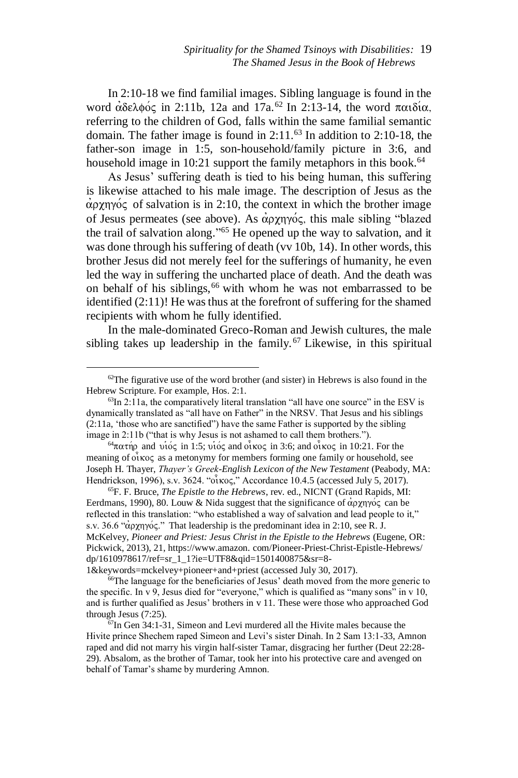In 2:10-18 we find familial images. Sibling language is found in the word  $\alpha\delta\epsilon\lambda\phi\acute{o}$  in 2:11b, 12a and 17a.<sup>62</sup> In 2:13-14, the word  $\pi\alpha\iota\delta\iota\alpha$ , referring to the children of God, falls within the same familial semantic domain. The father image is found in  $2:11<sup>63</sup>$  In addition to  $2:10-18$ , the father-son image in 1:5, son-household/family picture in 3:6, and household image in 10:21 support the family metaphors in this book.<sup>64</sup>

As Jesus' suffering death is tied to his being human, this suffering is likewise attached to his male image. The description of Jesus as the  $\alpha$ <sub>p</sub> $\gamma$ <sub>p</sub> $\gamma$ <sub>p</sub> $\gamma$ <sub>p</sub> $\gamma$ <sub>p</sub> of salvation is in 2:10, the context in which the brother image of Jesus permeates (see above). As  $\alpha$ <sub>p</sub> $\gamma$ <sub>p</sub> $\gamma$ <sub>p</sub> $\gamma$ <sub>p</sub> $\gamma$ <sub>p</sub> $\gamma$ <sub>p</sub> $\gamma$ <sub>p</sub> $\gamma$ <sub>p</sub> $\gamma$ <sub>p</sub> $\gamma$ <sub>p</sub> $\gamma$ <sub>p</sub> $\gamma$ <sub>p</sub> $\gamma$ <sub>p</sub> $\gamma$ <sub>p</sub> $\gamma$ <sub>p</sub> $\gamma$ <sub>p</sub> $\gamma$ <sub>p</sub> $\gamma$ <sub>p</sub> $\gamma$ <sub>p</sub> $\gamma$ <sub>p</sub> $\gamma$ <sub>p</sub> $\gamma$ <sub>p</sub> $\gamma$ <sub>p</sub> $\gamma$ <sub>p</sub> $\gamma$ <sub>p</sub> $\gamma$ <sub>p</sub> $\gamma$ the trail of salvation along." <sup>65</sup> He opened up the way to salvation, and it was done through his suffering of death (vv 10b, 14). In other words, this brother Jesus did not merely feel for the sufferings of humanity, he even led the way in suffering the uncharted place of death. And the death was on behalf of his siblings,<sup>66</sup> with whom he was not embarrassed to be identified (2:11)! He was thus at the forefront of suffering for the shamed recipients with whom he fully identified.

In the male-dominated Greco-Roman and Jewish cultures, the male sibling takes up leadership in the family.<sup>67</sup> Likewise, in this spiritual

 $\overline{a}$ 

[1&keywords=mckelvey+pioneer+and+priest](https://www.amazon.com/Pioneer-Priest-Christ-Epistle-Hebrews/dp/1610978617/ref=sr_1_1?ie=UTF8&qid=1501400875&sr=8-1&keywords=mckelvey+pioneer+and+priest) (accessed July 30, 2017).

 $62$ The figurative use of the word brother (and sister) in Hebrews is also found in the Hebrew Scripture. For example, Hos. 2:1.

 $63$ In 2:11a, the comparatively literal translation "all have one source" in the ESV is dynamically translated as "all have on Father" in the NRSV. That Jesus and his siblings (2:11a, 'those who are sanctified") have the same Father is supported by the sibling image in 2:11b ("that is why Jesus is not ashamed to call them brothers.").

 $^{64}$ πατήρ and υιός in 1:5; υιός and οικος in 3:6; and οικος in 10:21. For the meaning of  $\vec{\omega}$  koc as a metonymy for members forming one family or household, see Joseph H. Thayer, *Thayer's Greek-English Lexicon of the New Testament* (Peabody, MA: Hendrickson, 1996), s.v.  $3624$ . " $\alpha\bar{\alpha}$ κος," Accordance 10.4.5 (accessed July 5, 2017).

<sup>65</sup>F. F. Bruce, *The Epistle to the Hebrews*, rev. ed., NICNT (Grand Rapids, MI: Eerdmans, 1990), 80. Louw & Nida suggest that the significance of  $\alpha$ <sub>p</sub> $\gamma$ <sub>1</sub> $\gamma$ <sup>o</sup> $\alpha$  can be reflected in this translation: "who established a way of salvation and lead people to it," s.v. 36.6 " $\alpha$ <sub>p</sub> $\gamma$ <sub>p</sub> $\gamma$ <sub>p</sub>'." That leadership is the predominant idea in 2:10, see R. J. McKelvey, *Pioneer and Priest: Jesus Christ in the Epistle to the Hebrews* (Eugene, OR: Pickwick, 2013), 21, https://www.amazon. [com/Pioneer-Priest-Christ-Epistle-Hebrews/](https://www.amazon.com/Pioneer-Priest-Christ-Epistle-Hebrews/dp/1610978617/ref=sr_1_1?ie=UTF8&qid=1501400875&sr=8-1&keywords=mckelvey+pioneer+and+priest) [dp/1610978617/ref=sr\\_1\\_1?ie=UTF8&qid=1501400875&sr=8-](https://www.amazon.com/Pioneer-Priest-Christ-Epistle-Hebrews/dp/1610978617/ref=sr_1_1?ie=UTF8&qid=1501400875&sr=8-1&keywords=mckelvey+pioneer+and+priest)

<sup>66</sup>The language for the beneficiaries of Jesus' death moved from the more generic to the specific. In  $v$  9, Jesus died for "everyone," which is qualified as "many sons" in  $v$  10, and is further qualified as Jesus' brothers in v 11. These were those who approached God through Jesus (7:25).

 $67$ In Gen 34:1-31, Simeon and Levi murdered all the Hivite males because the Hivite prince Shechem raped Simeon and Levi's sister Dinah. In 2 Sam 13:1-33, Amnon raped and did not marry his virgin half-sister Tamar, disgracing her further (Deut 22:28- 29). Absalom, as the brother of Tamar, took her into his protective care and avenged on behalf of Tamar's shame by murdering Amnon.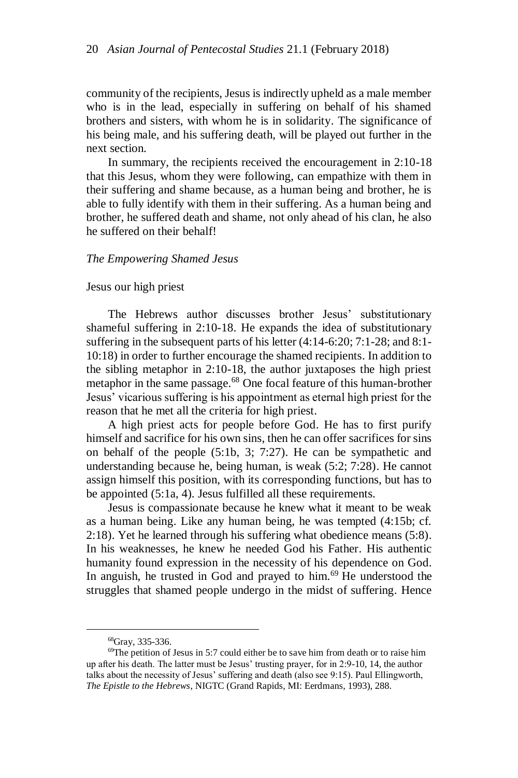community of the recipients, Jesus is indirectly upheld as a male member who is in the lead, especially in suffering on behalf of his shamed brothers and sisters, with whom he is in solidarity. The significance of his being male, and his suffering death, will be played out further in the next section.

In summary, the recipients received the encouragement in 2:10-18 that this Jesus, whom they were following, can empathize with them in their suffering and shame because, as a human being and brother, he is able to fully identify with them in their suffering. As a human being and brother, he suffered death and shame, not only ahead of his clan, he also he suffered on their behalf!

#### *The Empowering Shamed Jesus*

#### Jesus our high priest

The Hebrews author discusses brother Jesus' substitutionary shameful suffering in 2:10-18. He expands the idea of substitutionary suffering in the subsequent parts of his letter (4:14-6:20; 7:1-28; and 8:1- 10:18) in order to further encourage the shamed recipients. In addition to the sibling metaphor in 2:10-18, the author juxtaposes the high priest metaphor in the same passage.<sup>68</sup> One focal feature of this human-brother Jesus' vicarious suffering is his appointment as eternal high priest for the reason that he met all the criteria for high priest.

A high priest acts for people before God. He has to first purify himself and sacrifice for his own sins, then he can offer sacrifices for sins on behalf of the people (5:1b, 3; 7:27). He can be sympathetic and understanding because he, being human, is weak (5:2; 7:28). He cannot assign himself this position, with its corresponding functions, but has to be appointed (5:1a, 4). Jesus fulfilled all these requirements.

Jesus is compassionate because he knew what it meant to be weak as a human being. Like any human being, he was tempted (4:15b; cf. 2:18). Yet he learned through his suffering what obedience means (5:8). In his weaknesses, he knew he needed God his Father. His authentic humanity found expression in the necessity of his dependence on God. In anguish, he trusted in God and prayed to him.<sup>69</sup> He understood the struggles that shamed people undergo in the midst of suffering. Hence

<sup>68</sup>Gray, 335-336.

<sup>69</sup>The petition of Jesus in 5:7 could either be to save him from death or to raise him up after his death. The latter must be Jesus' trusting prayer, for in 2:9-10, 14, the author talks about the necessity of Jesus' suffering and death (also see 9:15). Paul Ellingworth, *The Epistle to the Hebrews*, NIGTC (Grand Rapids, MI: Eerdmans, 1993), 288.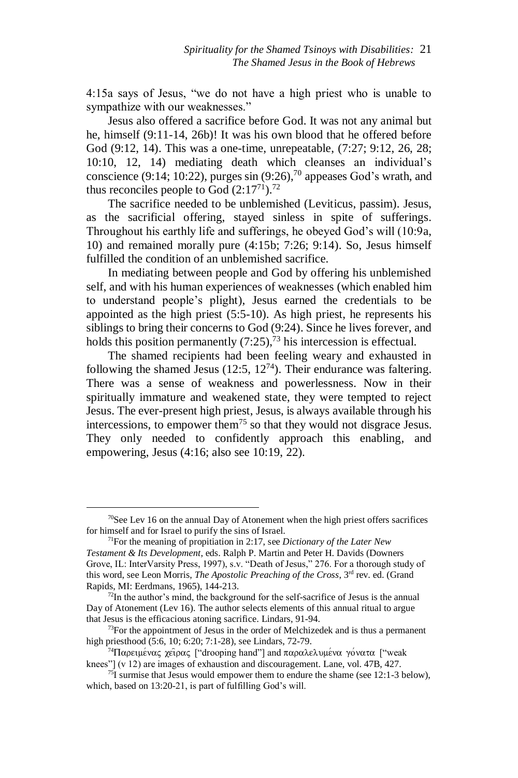4:15a says of Jesus, "we do not have a high priest who is unable to sympathize with our weaknesses."

Jesus also offered a sacrifice before God. It was not any animal but he, himself (9:11-14, 26b)! It was his own blood that he offered before God (9:12, 14). This was a one-time, unrepeatable, (7:27; 9:12, 26, 28; 10:10, 12, 14) mediating death which cleanses an individual's conscience (9:14; 10:22), purges  $sin(9:26)$ , <sup>70</sup> appeases God's wrath, and thus reconciles people to God  $(2:17^{71})$ <sup>72</sup>

The sacrifice needed to be unblemished (Leviticus, passim). Jesus, as the sacrificial offering, stayed sinless in spite of sufferings. Throughout his earthly life and sufferings, he obeyed God's will (10:9a, 10) and remained morally pure (4:15b; 7:26; 9:14). So, Jesus himself fulfilled the condition of an unblemished sacrifice.

In mediating between people and God by offering his unblemished self, and with his human experiences of weaknesses (which enabled him to understand people's plight), Jesus earned the credentials to be appointed as the high priest (5:5-10). As high priest, he represents his siblings to bring their concerns to God (9:24). Since he lives forever, and holds this position permanently  $(7:25)$ ,  $^{73}$  his intercession is effectual.

The shamed recipients had been feeling weary and exhausted in following the shamed Jesus (12:5,  $12^{74}$ ). Their endurance was faltering. There was a sense of weakness and powerlessness. Now in their spiritually immature and weakened state, they were tempted to reject Jesus. The ever-present high priest, Jesus, is always available through his intercessions, to empower them<sup>75</sup> so that they would not disgrace Jesus. They only needed to confidently approach this enabling, and empowering, Jesus (4:16; also see 10:19, 22).

 $70$ See Lev 16 on the annual Day of Atonement when the high priest offers sacrifices for himself and for Israel to purify the sins of Israel.

<sup>71</sup>For the meaning of propitiation in 2:17, see *Dictionary of the Later New Testament & Its Development*, eds. Ralph P. Martin and Peter H. Davids (Downers Grove, IL: InterVarsity Press, 1997), s.v. "Death of Jesus," 276. For a thorough study of this word, see Leon Morris, *The Apostolic Preaching of the Cross*, 3<sup>rd</sup> rev. ed. (Grand Rapids, MI: Eerdmans, 1965), 144-213.

 $72$ In the author's mind, the background for the self-sacrifice of Jesus is the annual Day of Atonement (Lev 16). The author selects elements of this annual ritual to argue that Jesus is the efficacious atoning sacrifice. Lindars, 91-94.

 $73$ For the appointment of Jesus in the order of Melchizedek and is thus a permanent high priesthood (5:6, 10; 6:20; 7:1-28), see Lindars, 72-79.

<sup>&</sup>lt;sup>74</sup>Παρειμένας χειρας ["drooping hand"] and παραλελυμένα γόνατα ["weak knees"] (v 12) are images of exhaustion and discouragement. Lane, vol. 47B, 427.

 $75$ I surmise that Jesus would empower them to endure the shame (see 12:1-3 below), which, based on 13:20-21, is part of fulfilling God's will.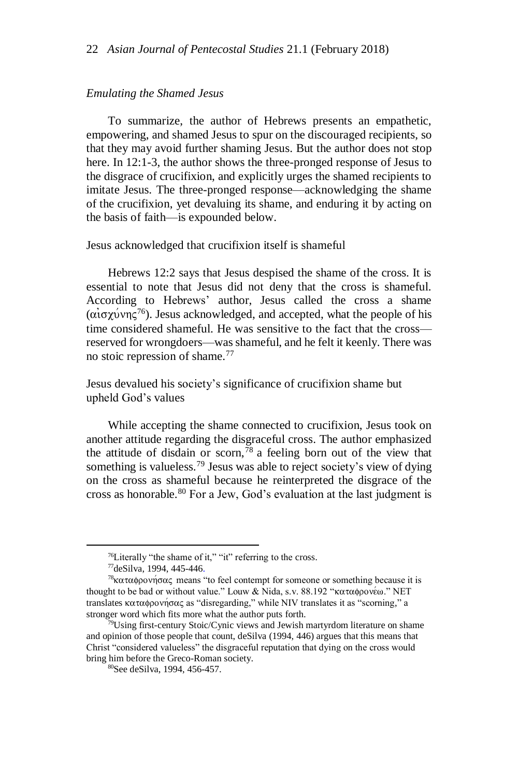#### *Emulating the Shamed Jesus*

To summarize, the author of Hebrews presents an empathetic, empowering, and shamed Jesus to spur on the discouraged recipients, so that they may avoid further shaming Jesus. But the author does not stop here. In 12:1-3, the author shows the three-pronged response of Jesus to the disgrace of crucifixion, and explicitly urges the shamed recipients to imitate Jesus. The three-pronged response—acknowledging the shame of the crucifixion, yet devaluing its shame, and enduring it by acting on the basis of faith—is expounded below.

#### Jesus acknowledged that crucifixion itself is shameful

Hebrews 12:2 says that Jesus despised the shame of the cross. It is essential to note that Jesus did not deny that the cross is shameful. According to Hebrews' author, Jesus called the cross a shame ( $\alpha$ iσχύνης<sup>76</sup>). Jesus acknowledged, and accepted, what the people of his time considered shameful. He was sensitive to the fact that the cross reserved for wrongdoers—was shameful, and he felt it keenly. There was no stoic repression of shame.<sup>77</sup>

Jesus devalued his society's significance of crucifixion shame but upheld God's values

While accepting the shame connected to crucifixion, Jesus took on another attitude regarding the disgraceful cross. The author emphasized the attitude of disdain or scorn,  $\frac{78}{8}$  a feeling born out of the view that something is valueless.<sup>79</sup> Jesus was able to reject society's view of dying on the cross as shameful because he reinterpreted the disgrace of the cross as honorable.<sup>80</sup> For a Jew, God's evaluation at the last judgment is

 $^{76}$ Literally "the shame of it," "it" referring to the cross.

<sup>77</sup>deSilva, 1994, 445-446.

<sup>&</sup>lt;sup>78</sup>καταφρονήσας means "to feel contempt for someone or something because it is thought to be bad or without value." Louw & Nida, s.v. 88.192 "καταφρονέω." NET translates καταφρονήσας as "disregarding," while NIV translates it as "scorning," a stronger word which fits more what the author puts forth.

 $79$ Using first-century Stoic/Cynic views and Jewish martyrdom literature on shame and opinion of those people that count, deSilva (1994, 446) argues that this means that Christ "considered valueless" the disgraceful reputation that dying on the cross would bring him before the Greco-Roman society.

<sup>80</sup>See deSilva, 1994, 456-457.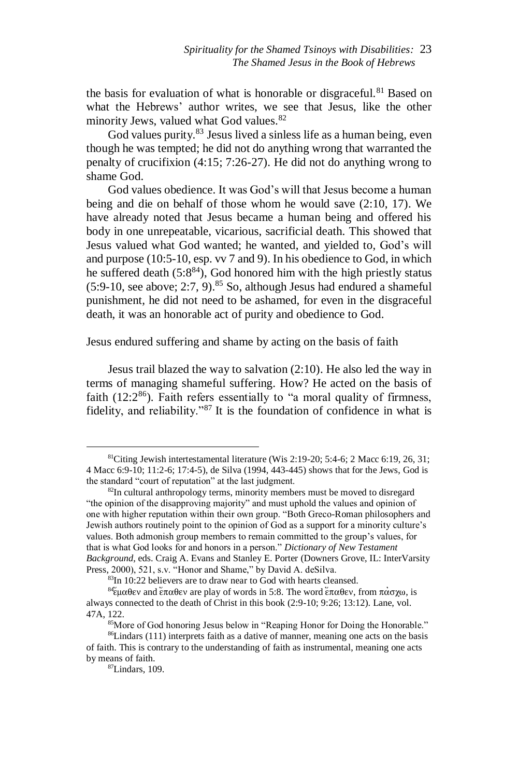the basis for evaluation of what is honorable or disgraceful.<sup>81</sup> Based on what the Hebrews' author writes, we see that Jesus, like the other minority Jews, valued what God values.<sup>82</sup>

God values purity.<sup>83</sup> Jesus lived a sinless life as a human being, even though he was tempted; he did not do anything wrong that warranted the penalty of crucifixion (4:15; 7:26-27). He did not do anything wrong to shame God.

God values obedience. It was God's will that Jesus become a human being and die on behalf of those whom he would save (2:10, 17). We have already noted that Jesus became a human being and offered his body in one unrepeatable, vicarious, sacrificial death. This showed that Jesus valued what God wanted; he wanted, and yielded to, God's will and purpose (10:5-10, esp. vv 7 and 9). In his obedience to God, in which he suffered death  $(5.8^{84})$ , God honored him with the high priestly status  $(5:9-10, \text{ see above}; 2:7, 9)$ .<sup>85</sup> So, although Jesus had endured a shameful punishment, he did not need to be ashamed, for even in the disgraceful death, it was an honorable act of purity and obedience to God.

### Jesus endured suffering and shame by acting on the basis of faith

Jesus trail blazed the way to salvation (2:10). He also led the way in terms of managing shameful suffering. How? He acted on the basis of faith  $(12:2^{86})$ . Faith refers essentially to "a moral quality of firmness, fidelity, and reliability."<sup>87</sup> It is the foundation of confidence in what is

<sup>&</sup>lt;sup>81</sup>Citing Jewish intertestamental literature (Wis 2:19-20; 5:4-6; 2 Macc 6:19, 26, 31; 4 Macc 6:9-10; 11:2-6; 17:4-5), de Silva (1994, 443-445) shows that for the Jews, God is the standard "court of reputation" at the last judgment.

 $82$ In cultural anthropology terms, minority members must be moved to disregard "the opinion of the disapproving majority" and must uphold the values and opinion of one with higher reputation within their own group. "Both Greco-Roman philosophers and Jewish authors routinely point to the opinion of God as a support for a minority culture's values. Both admonish group members to remain committed to the group's values, for that is what God looks for and honors in a person." *Dictionary of New Testament Background*, eds. Craig A. Evans and Stanley E. Porter (Downers Grove, IL: InterVarsity Press, 2000), 521, s.v. "Honor and Shame," by David A. deSilva.

<sup>83</sup>In 10:22 believers are to draw near to God with hearts cleansed.

<sup>&</sup>lt;sup>84</sup>έμαθεν and έπαθεν are play of words in 5:8. The word έπαθεν, from πάσχω, is always connected to the death of Christ in this book (2:9-10; 9:26; 13:12). Lane, vol. 47A, 122.

<sup>85</sup>More of God honoring Jesus below in "Reaping Honor for Doing the Honorable." <sup>86</sup>Lindars (111) interprets faith as a dative of manner, meaning one acts on the basis of faith. This is contrary to the understanding of faith as instrumental, meaning one acts by means of faith.

<sup>87</sup>Lindars, 109.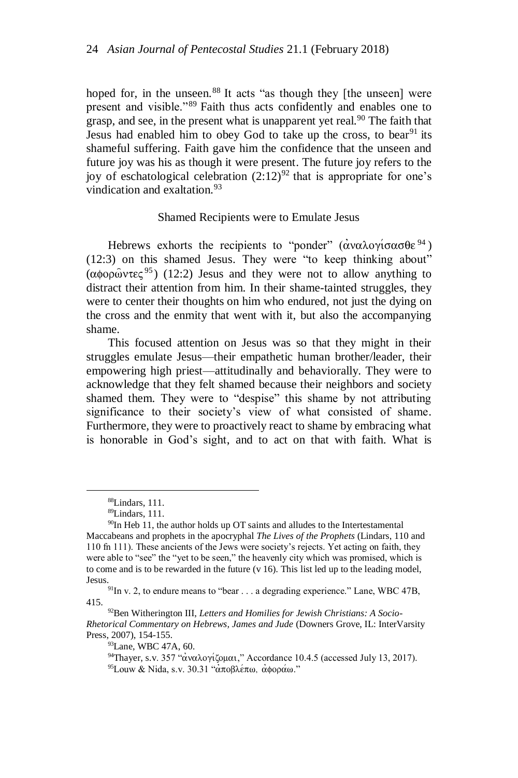hoped for, in the unseen.<sup>88</sup> It acts "as though they [the unseen] were present and visible."<sup>89</sup> Faith thus acts confidently and enables one to grasp, and see, in the present what is unapparent yet real.<sup>90</sup> The faith that Jesus had enabled him to obey God to take up the cross, to bear  $91$  its shameful suffering. Faith gave him the confidence that the unseen and future joy was his as though it were present. The future joy refers to the joy of eschatological celebration  $(2.12)^{92}$  that is appropriate for one's vindication and exaltation  $93$ 

#### Shamed Recipients were to Emulate Jesus

Hebrews exhorts the recipients to "ponder" ( $\alpha \alpha \lambda$ ovi $\sigma \alpha \sigma \theta \epsilon^{94}$ ) (12:3) on this shamed Jesus. They were "to keep thinking about"  $(\alpha\phi o \rho\hat{\omega} \nu \tau \epsilon \zeta^{95})$  (12:2) Jesus and they were not to allow anything to distract their attention from him. In their shame-tainted struggles, they were to center their thoughts on him who endured, not just the dying on the cross and the enmity that went with it, but also the accompanying shame.

This focused attention on Jesus was so that they might in their struggles emulate Jesus—their empathetic human brother/leader, their empowering high priest—attitudinally and behaviorally. They were to acknowledge that they felt shamed because their neighbors and society shamed them. They were to "despise" this shame by not attributing significance to their society's view of what consisted of shame. Furthermore, they were to proactively react to shame by embracing what is honorable in God's sight, and to act on that with faith. What is

<sup>88</sup>Lindars, 111.

<sup>89</sup>Lindars, 111.

 $90$ In Heb 11, the author holds up OT saints and alludes to the Intertestamental Maccabeans and prophets in the apocryphal *The Lives of the Prophets* (Lindars, 110 and 110 fn 111). These ancients of the Jews were society's rejects. Yet acting on faith, they were able to "see" the "yet to be seen," the heavenly city which was promised, which is to come and is to be rewarded in the future (v 16). This list led up to the leading model, Jesus.

 $91$ In v. 2, to endure means to "bear . . . a degrading experience." Lane, WBC 47B, 415.

<sup>92</sup>Ben Witherington III, *Letters and Homilies for Jewish Christians: A Socio-Rhetorical Commentary on Hebrews, James and Jude* (Downers Grove, IL: InterVarsity Press, 2007), 154-155.

<sup>93</sup>Lane, WBC 47A, 60.

<sup>&</sup>lt;sup>94</sup>Thayer, s.v. 357 "αναλογίζομαι," Accordance 10.4.5 (accessed July 13, 2017).  $95$ Louw & Nida, s.v. 30.31 "αποβλέπω, αφοράω."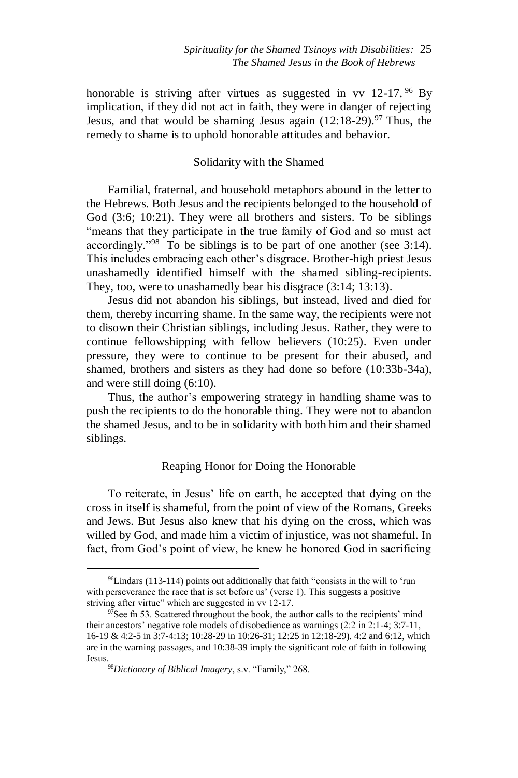honorable is striving after virtues as suggested in vv  $12-17$ . <sup>96</sup> Bv implication, if they did not act in faith, they were in danger of rejecting Jesus, and that would be shaming Jesus again  $(12:18-29)$ <sup>97</sup> Thus, the remedy to shame is to uphold honorable attitudes and behavior.

## Solidarity with the Shamed

Familial, fraternal, and household metaphors abound in the letter to the Hebrews. Both Jesus and the recipients belonged to the household of God (3:6; 10:21). They were all brothers and sisters. To be siblings "means that they participate in the true family of God and so must act accordingly."<sup>98</sup> To be siblings is to be part of one another (see 3:14). This includes embracing each other's disgrace. Brother-high priest Jesus unashamedly identified himself with the shamed sibling-recipients. They, too, were to unashamedly bear his disgrace (3:14; 13:13).

Jesus did not abandon his siblings, but instead, lived and died for them, thereby incurring shame. In the same way, the recipients were not to disown their Christian siblings, including Jesus. Rather, they were to continue fellowshipping with fellow believers (10:25). Even under pressure, they were to continue to be present for their abused, and shamed, brothers and sisters as they had done so before (10:33b-34a), and were still doing (6:10).

Thus, the author's empowering strategy in handling shame was to push the recipients to do the honorable thing. They were not to abandon the shamed Jesus, and to be in solidarity with both him and their shamed siblings.

## Reaping Honor for Doing the Honorable

To reiterate, in Jesus' life on earth, he accepted that dying on the cross in itself is shameful, from the point of view of the Romans, Greeks and Jews. But Jesus also knew that his dying on the cross, which was willed by God, and made him a victim of injustice, was not shameful. In fact, from God's point of view, he knew he honored God in sacrificing

<sup>96</sup>Lindars (113-114) points out additionally that faith "consists in the will to 'run with perseverance the race that is set before us' (verse 1). This suggests a positive striving after virtue" which are suggested in vv 12-17.

 $97$ See fn 53. Scattered throughout the book, the author calls to the recipients' mind their ancestors' negative role models of disobedience as warnings (2:2 in 2:1-4; 3:7-11, 16-19 & 4:2-5 in 3:7-4:13; 10:28-29 in 10:26-31; 12:25 in 12:18-29). 4:2 and 6:12, which are in the warning passages, and 10:38-39 imply the significant role of faith in following Jesus.

<sup>98</sup>*Dictionary of Biblical Imagery*, s.v. "Family," 268.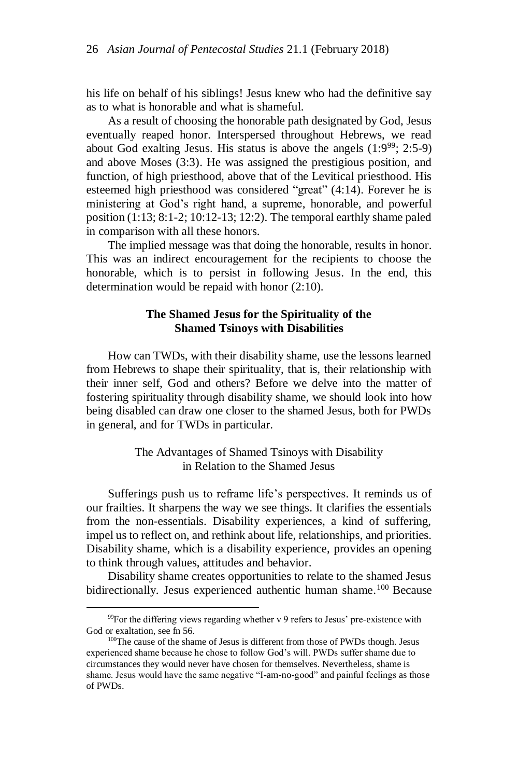his life on behalf of his siblings! Jesus knew who had the definitive say as to what is honorable and what is shameful.

As a result of choosing the honorable path designated by God, Jesus eventually reaped honor. Interspersed throughout Hebrews, we read about God exalting Jesus. His status is above the angels  $(1:9^{99}; 2:5-9)$ and above Moses (3:3). He was assigned the prestigious position, and function, of high priesthood, above that of the Levitical priesthood. His esteemed high priesthood was considered "great" (4:14). Forever he is ministering at God's right hand, a supreme, honorable, and powerful position (1:13; 8:1-2; 10:12-13; 12:2). The temporal earthly shame paled in comparison with all these honors.

The implied message was that doing the honorable, results in honor. This was an indirect encouragement for the recipients to choose the honorable, which is to persist in following Jesus. In the end, this determination would be repaid with honor (2:10).

## **The Shamed Jesus for the Spirituality of the Shamed Tsinoys with Disabilities**

How can TWDs, with their disability shame, use the lessons learned from Hebrews to shape their spirituality, that is, their relationship with their inner self, God and others? Before we delve into the matter of fostering spirituality through disability shame, we should look into how being disabled can draw one closer to the shamed Jesus, both for PWDs in general, and for TWDs in particular.

> The Advantages of Shamed Tsinoys with Disability in Relation to the Shamed Jesus

Sufferings push us to reframe life's perspectives. It reminds us of our frailties. It sharpens the way we see things. It clarifies the essentials from the non-essentials. Disability experiences, a kind of suffering, impel us to reflect on, and rethink about life, relationships, and priorities. Disability shame, which is a disability experience, provides an opening to think through values, attitudes and behavior.

Disability shame creates opportunities to relate to the shamed Jesus bidirectionally. Jesus experienced authentic human shame.<sup>100</sup> Because

 $99$ For the differing views regarding whether v 9 refers to Jesus' pre-existence with God or exaltation, see fn 56.

<sup>&</sup>lt;sup>100</sup>The cause of the shame of Jesus is different from those of PWDs though. Jesus experienced shame because he chose to follow God's will. PWDs suffer shame due to circumstances they would never have chosen for themselves. Nevertheless, shame is shame. Jesus would have the same negative "I-am-no-good" and painful feelings as those of PWDs.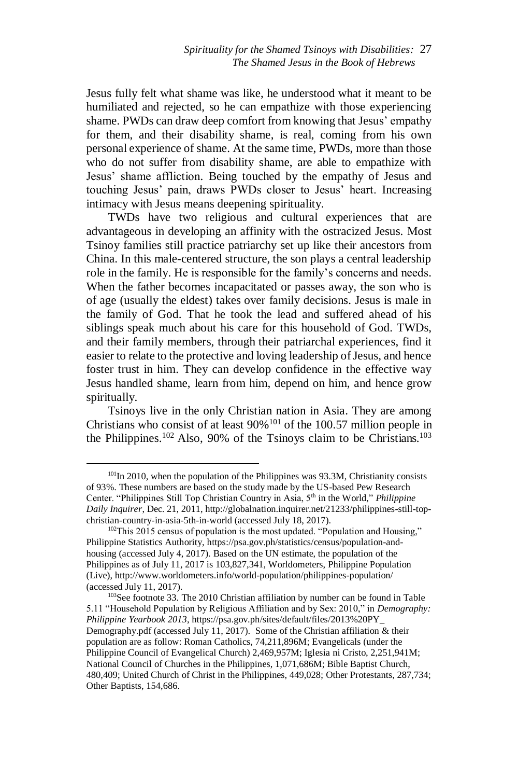Jesus fully felt what shame was like, he understood what it meant to be humiliated and rejected, so he can empathize with those experiencing shame. PWDs can draw deep comfort from knowing that Jesus' empathy for them, and their disability shame, is real, coming from his own personal experience of shame. At the same time, PWDs, more than those who do not suffer from disability shame, are able to empathize with Jesus' shame affliction. Being touched by the empathy of Jesus and touching Jesus' pain, draws PWDs closer to Jesus' heart. Increasing intimacy with Jesus means deepening spirituality.

TWDs have two religious and cultural experiences that are advantageous in developing an affinity with the ostracized Jesus. Most Tsinoy families still practice patriarchy set up like their ancestors from China. In this male-centered structure, the son plays a central leadership role in the family. He is responsible for the family's concerns and needs. When the father becomes incapacitated or passes away, the son who is of age (usually the eldest) takes over family decisions. Jesus is male in the family of God. That he took the lead and suffered ahead of his siblings speak much about his care for this household of God. TWDs, and their family members, through their patriarchal experiences, find it easier to relate to the protective and loving leadership of Jesus, and hence foster trust in him. They can develop confidence in the effective way Jesus handled shame, learn from him, depend on him, and hence grow spiritually.

Tsinoys live in the only Christian nation in Asia. They are among Christians who consist of at least  $90\%$ <sup>101</sup> of the 100.57 million people in the Philippines.<sup>102</sup> Also, 90% of the Tsinoys claim to be Christians.<sup>103</sup>

 $101$ In 2010, when the population of the Philippines was 93.3M, Christianity consists of 93%. These numbers are based on the study made by the US-based Pew Research Center. "Philippines Still Top Christian Country in Asia, 5th in the World," *Philippine Daily Inquirer*, Dec. 21, 2011, http://globalnation.inquirer.net/21233/philippines-still-topchristian-country-in-asia-5th-in-world (accessed July 18, 2017).

<sup>&</sup>lt;sup>102</sup>This 2015 census of population is the most updated. "Population and Housing," Philippine Statistics Authority, https://psa.gov.ph/statistics/census/population-andhousing (accessed July 4, 2017). Based on the UN estimate, the population of the Philippines as of July 11, 2017 is 103,827,341, Worldometers, Philippine Population (Live), http://www.worldometers.info/world-population/philippines-population/ (accessed July 11, 2017).

<sup>103</sup>See footnote 33. The 2010 Christian affiliation by number can be found in Table 5.11 "Household Population by Religious Affiliation and by Sex: 2010," in *Demography: Philippine Yearbook 2013*, https://psa.gov.ph/sites/default/files/2013%20PY\_ Demography.pdf (accessed July 11, 2017). Some of the Christian affiliation & their population are as follow: Roman Catholics, 74,211,896M; Evangelicals (under the Philippine Council of Evangelical Church) 2,469,957M; Iglesia ni Cristo, 2,251,941M; National Council of Churches in the Philippines, 1,071,686M; Bible Baptist Church, 480,409; United Church of Christ in the Philippines, 449,028; Other Protestants, 287,734; Other Baptists, 154,686.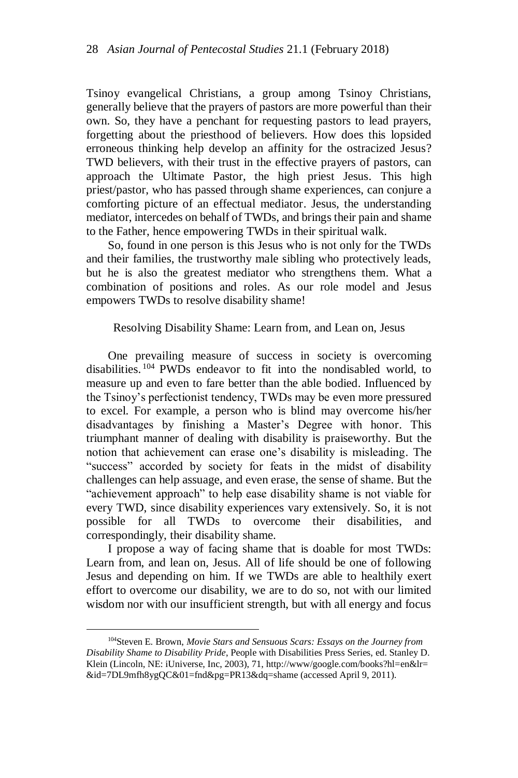Tsinoy evangelical Christians, a group among Tsinoy Christians, generally believe that the prayers of pastors are more powerful than their own. So, they have a penchant for requesting pastors to lead prayers, forgetting about the priesthood of believers. How does this lopsided erroneous thinking help develop an affinity for the ostracized Jesus? TWD believers, with their trust in the effective prayers of pastors, can approach the Ultimate Pastor, the high priest Jesus. This high priest/pastor, who has passed through shame experiences, can conjure a comforting picture of an effectual mediator. Jesus, the understanding mediator, intercedes on behalf of TWDs, and brings their pain and shame to the Father, hence empowering TWDs in their spiritual walk.

So, found in one person is this Jesus who is not only for the TWDs and their families, the trustworthy male sibling who protectively leads, but he is also the greatest mediator who strengthens them. What a combination of positions and roles. As our role model and Jesus empowers TWDs to resolve disability shame!

### Resolving Disability Shame: Learn from, and Lean on, Jesus

One prevailing measure of success in society is overcoming disabilities. <sup>104</sup> PWDs endeavor to fit into the nondisabled world, to measure up and even to fare better than the able bodied. Influenced by the Tsinoy's perfectionist tendency, TWDs may be even more pressured to excel. For example, a person who is blind may overcome his/her disadvantages by finishing a Master's Degree with honor. This triumphant manner of dealing with disability is praiseworthy. But the notion that achievement can erase one's disability is misleading. The "success" accorded by society for feats in the midst of disability challenges can help assuage, and even erase, the sense of shame. But the "achievement approach" to help ease disability shame is not viable for every TWD, since disability experiences vary extensively. So, it is not possible for all TWDs to overcome their disabilities, and correspondingly, their disability shame.

I propose a way of facing shame that is doable for most TWDs: Learn from, and lean on, Jesus. All of life should be one of following Jesus and depending on him. If we TWDs are able to healthily exert effort to overcome our disability, we are to do so, not with our limited wisdom nor with our insufficient strength, but with all energy and focus

<sup>104</sup>Steven E. Brown, *Movie Stars and Sensuous Scars: Essays on the Journey from Disability Shame to Disability Pride*, People with Disabilities Press Series, ed. Stanley D. Klein (Lincoln, NE: iUniverse, Inc, 2003), 71, http://www/google.com/books?hl=en&lr= &id=7DL9mfh8ygQC&01=fnd&pg=PR13&dq=shame (accessed April 9, 2011).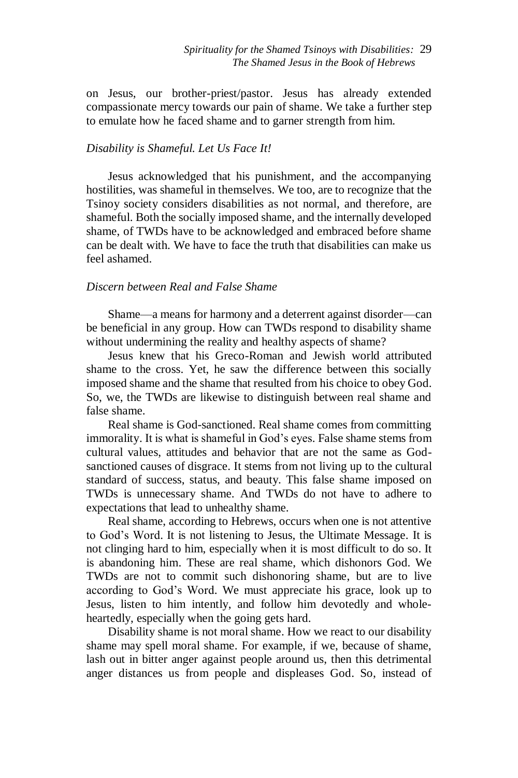on Jesus, our brother-priest/pastor. Jesus has already extended compassionate mercy towards our pain of shame. We take a further step to emulate how he faced shame and to garner strength from him.

### *Disability is Shameful. Let Us Face It!*

Jesus acknowledged that his punishment, and the accompanying hostilities, was shameful in themselves. We too, are to recognize that the Tsinoy society considers disabilities as not normal, and therefore, are shameful. Both the socially imposed shame, and the internally developed shame, of TWDs have to be acknowledged and embraced before shame can be dealt with. We have to face the truth that disabilities can make us feel ashamed.

#### *Discern between Real and False Shame*

Shame—a means for harmony and a deterrent against disorder—can be beneficial in any group. How can TWDs respond to disability shame without undermining the reality and healthy aspects of shame?

Jesus knew that his Greco-Roman and Jewish world attributed shame to the cross. Yet, he saw the difference between this socially imposed shame and the shame that resulted from his choice to obey God. So, we, the TWDs are likewise to distinguish between real shame and false shame.

Real shame is God-sanctioned. Real shame comes from committing immorality. It is what is shameful in God's eyes. False shame stems from cultural values, attitudes and behavior that are not the same as Godsanctioned causes of disgrace. It stems from not living up to the cultural standard of success, status, and beauty. This false shame imposed on TWDs is unnecessary shame. And TWDs do not have to adhere to expectations that lead to unhealthy shame.

Real shame, according to Hebrews, occurs when one is not attentive to God's Word. It is not listening to Jesus, the Ultimate Message. It is not clinging hard to him, especially when it is most difficult to do so. It is abandoning him. These are real shame, which dishonors God. We TWDs are not to commit such dishonoring shame, but are to live according to God's Word. We must appreciate his grace, look up to Jesus, listen to him intently, and follow him devotedly and wholeheartedly, especially when the going gets hard.

Disability shame is not moral shame. How we react to our disability shame may spell moral shame. For example, if we, because of shame, lash out in bitter anger against people around us, then this detrimental anger distances us from people and displeases God. So, instead of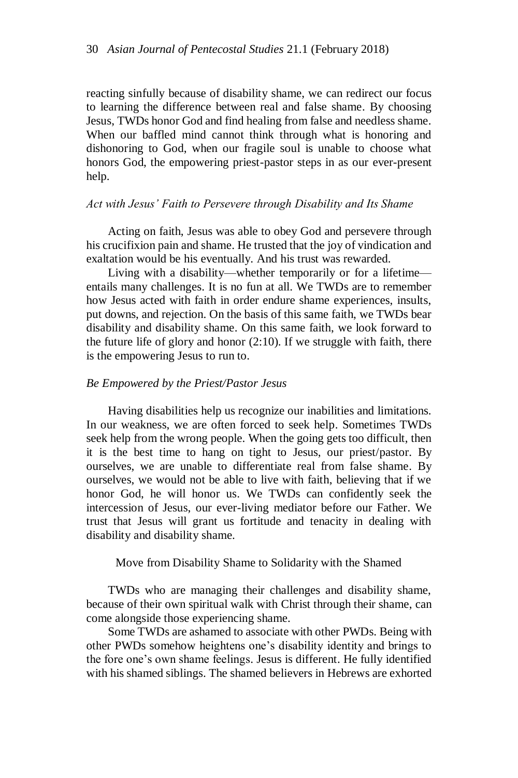reacting sinfully because of disability shame, we can redirect our focus to learning the difference between real and false shame. By choosing Jesus, TWDs honor God and find healing from false and needless shame. When our baffled mind cannot think through what is honoring and dishonoring to God, when our fragile soul is unable to choose what honors God, the empowering priest-pastor steps in as our ever-present help.

#### *Act with Jesus' Faith to Persevere through Disability and Its Shame*

Acting on faith, Jesus was able to obey God and persevere through his crucifixion pain and shame. He trusted that the joy of vindication and exaltation would be his eventually. And his trust was rewarded.

Living with a disability—whether temporarily or for a lifetime entails many challenges. It is no fun at all. We TWDs are to remember how Jesus acted with faith in order endure shame experiences, insults, put downs, and rejection. On the basis of this same faith, we TWDs bear disability and disability shame. On this same faith, we look forward to the future life of glory and honor  $(2:10)$ . If we struggle with faith, there is the empowering Jesus to run to.

#### *Be Empowered by the Priest/Pastor Jesus*

Having disabilities help us recognize our inabilities and limitations. In our weakness, we are often forced to seek help. Sometimes TWDs seek help from the wrong people. When the going gets too difficult, then it is the best time to hang on tight to Jesus, our priest/pastor. By ourselves, we are unable to differentiate real from false shame. By ourselves, we would not be able to live with faith, believing that if we honor God, he will honor us. We TWDs can confidently seek the intercession of Jesus, our ever-living mediator before our Father. We trust that Jesus will grant us fortitude and tenacity in dealing with disability and disability shame.

Move from Disability Shame to Solidarity with the Shamed

TWDs who are managing their challenges and disability shame, because of their own spiritual walk with Christ through their shame, can come alongside those experiencing shame.

Some TWDs are ashamed to associate with other PWDs. Being with other PWDs somehow heightens one's disability identity and brings to the fore one's own shame feelings. Jesus is different. He fully identified with his shamed siblings. The shamed believers in Hebrews are exhorted